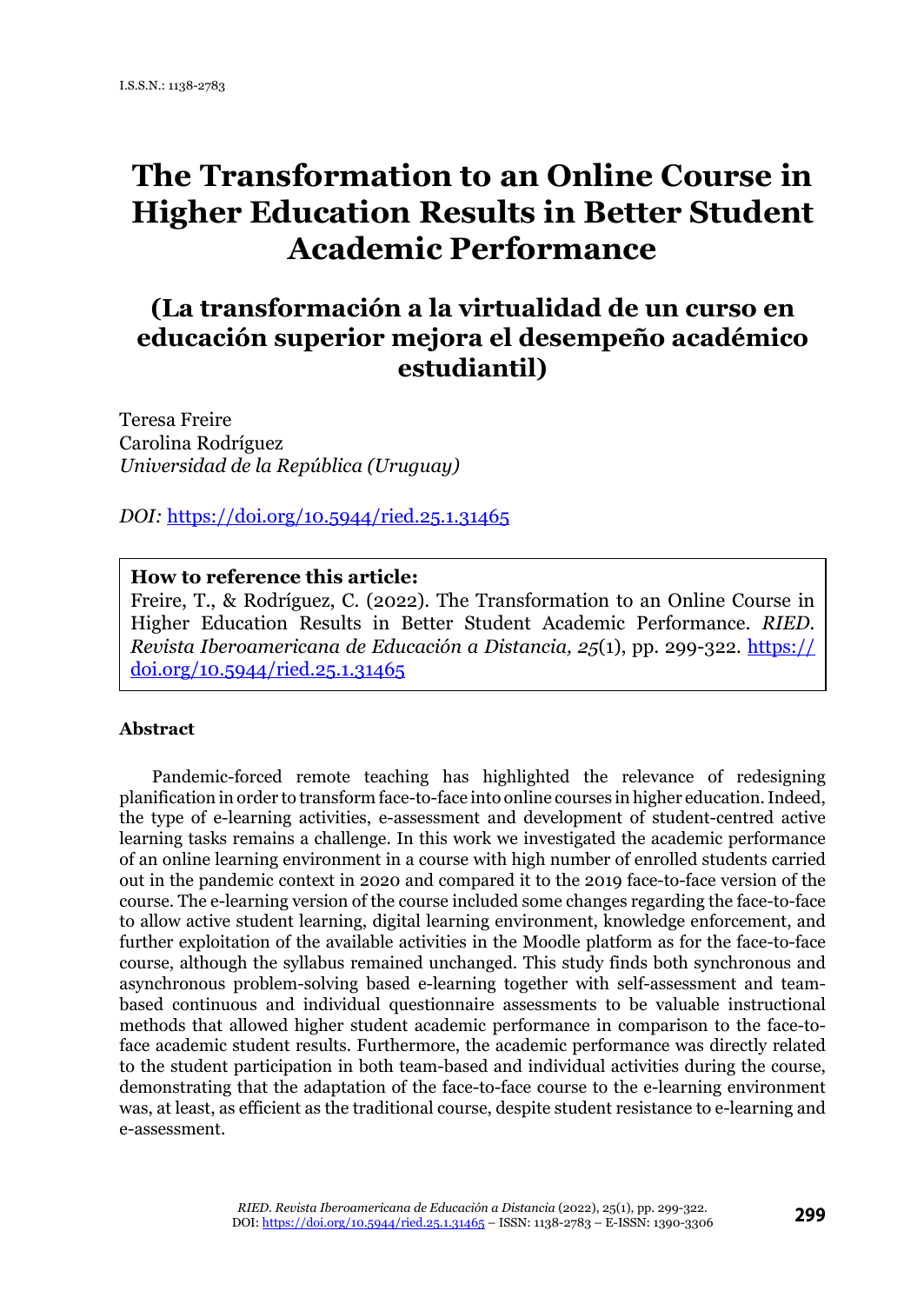# **The Transformation to an Online Course in Higher Education Results in Better Student Academic Performance**

# **(La transformación a la virtualidad de un curso en educación superior mejora el desempeño académico estudiantil)**

Teresa Freire Carolina Rodríguez *Universidad de la República (Uruguay)*

*DOI:* <https://doi.org/10.5944/ried.25.1.31465>

# **How to reference this article:**

Freire, T., & Rodríguez, C. (2022). The Transformation to an Online Course in Higher Education Results in Better Student Academic Performance. *RIED. Revista Iberoamericana de Educación a Distancia, 25*(1), pp. 299-322*.* [https://](https://doi.org/10.5944/ried.25.1.31465) [doi.org/10.5944/ried.25.1.31465](https://doi.org/10.5944/ried.25.1.31465)

#### **Abstract**

Pandemic-forced remote teaching has highlighted the relevance of redesigning planification in order to transform face-to-face into online courses in higher education. Indeed, the type of e-learning activities, e-assessment and development of student-centred active learning tasks remains a challenge. In this work we investigated the academic performance of an online learning environment in a course with high number of enrolled students carried out in the pandemic context in 2020 and compared it to the 2019 face-to-face version of the course. The e-learning version of the course included some changes regarding the face-to-face to allow active student learning, digital learning environment, knowledge enforcement, and further exploitation of the available activities in the Moodle platform as for the face-to-face course, although the syllabus remained unchanged. This study finds both synchronous and asynchronous problem-solving based e-learning together with self-assessment and teambased continuous and individual questionnaire assessments to be valuable instructional methods that allowed higher student academic performance in comparison to the face-toface academic student results. Furthermore, the academic performance was directly related to the student participation in both team-based and individual activities during the course, demonstrating that the adaptation of the face-to-face course to the e-learning environment was, at least, as efficient as the traditional course, despite student resistance to e-learning and e-assessment.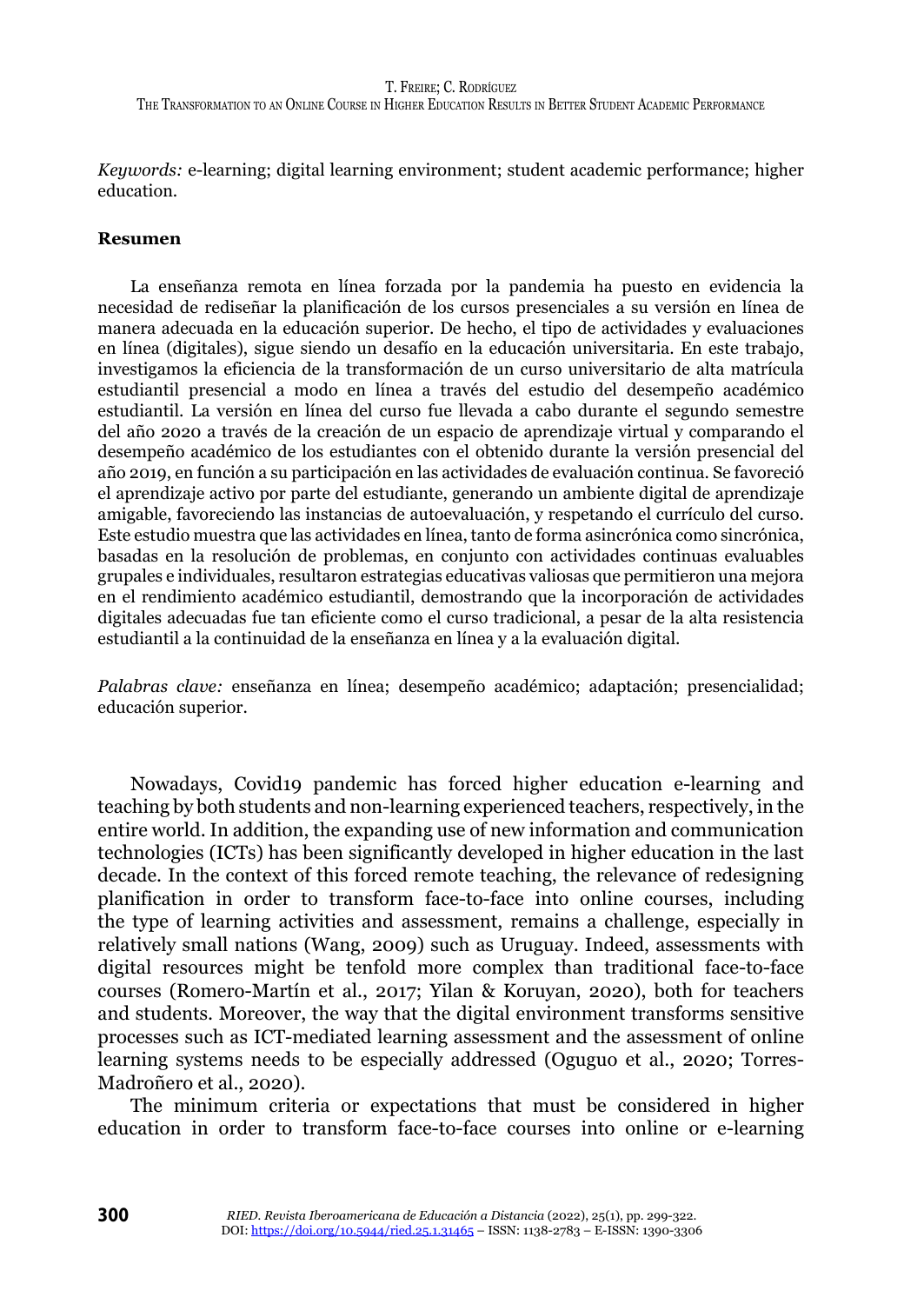*Keywords:* e-learning; digital learning environment; student academic performance; higher education.

#### **Resumen**

La enseñanza remota en línea forzada por la pandemia ha puesto en evidencia la necesidad de rediseñar la planificación de los cursos presenciales a su versión en línea de manera adecuada en la educación superior. De hecho, el tipo de actividades y evaluaciones en línea (digitales), sigue siendo un desafío en la educación universitaria. En este trabajo, investigamos la eficiencia de la transformación de un curso universitario de alta matrícula estudiantil presencial a modo en línea a través del estudio del desempeño académico estudiantil. La versión en línea del curso fue llevada a cabo durante el segundo semestre del año 2020 a través de la creación de un espacio de aprendizaje virtual y comparando el desempeño académico de los estudiantes con el obtenido durante la versión presencial del año 2019, en función a su participación en las actividades de evaluación continua. Se favoreció el aprendizaje activo por parte del estudiante, generando un ambiente digital de aprendizaje amigable, favoreciendo las instancias de autoevaluación, y respetando el currículo del curso. Este estudio muestra que las actividades en línea, tanto de forma asincrónica como sincrónica, basadas en la resolución de problemas, en conjunto con actividades continuas evaluables grupales e individuales, resultaron estrategias educativas valiosas que permitieron una mejora en el rendimiento académico estudiantil, demostrando que la incorporación de actividades digitales adecuadas fue tan eficiente como el curso tradicional, a pesar de la alta resistencia estudiantil a la continuidad de la enseñanza en línea y a la evaluación digital.

*Palabras clave:* enseñanza en línea; desempeño académico; adaptación; presencialidad; educación superior.

Nowadays, Covid19 pandemic has forced higher education e-learning and teaching by both students and non-learning experienced teachers, respectively, in the entire world. In addition, the expanding use of new information and communication technologies (ICTs) has been significantly developed in higher education in the last decade. In the context of this forced remote teaching, the relevance of redesigning planification in order to transform face-to-face into online courses, including the type of learning activities and assessment, remains a challenge, especially in relatively small nations (Wang, 2009) such as Uruguay. Indeed, assessments with digital resources might be tenfold more complex than traditional face-to-face courses (Romero-Martín et al., 2017; Yilan & Koruyan, 2020), both for teachers and students. Moreover, the way that the digital environment transforms sensitive processes such as ICT-mediated learning assessment and the assessment of online learning systems needs to be especially addressed (Oguguo et al., 2020; Torres-Madroñero et al., 2020).

The minimum criteria or expectations that must be considered in higher education in order to transform face-to-face courses into online or e-learning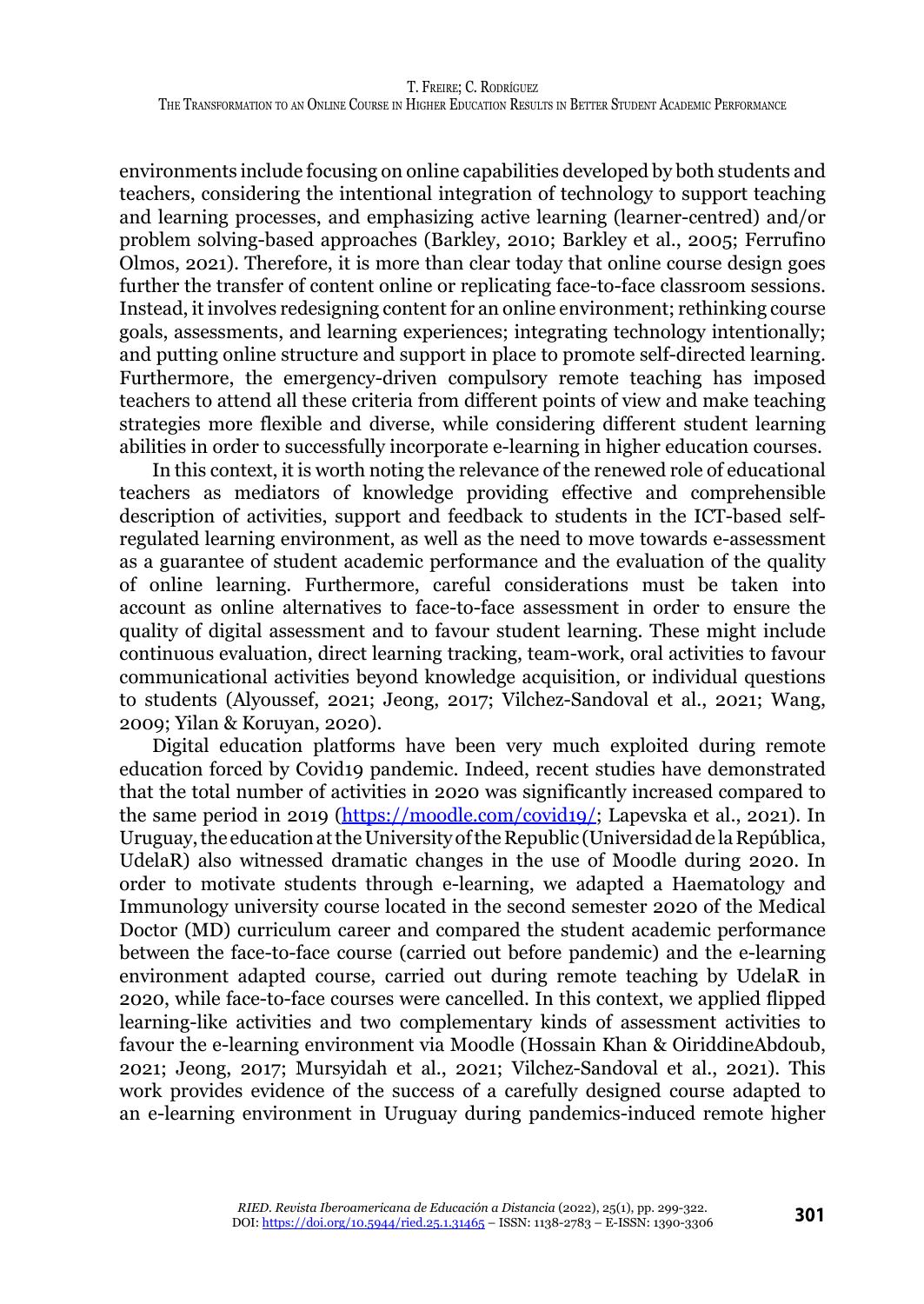environments include focusing on online capabilities developed by both students and teachers, considering the intentional integration of technology to support teaching and learning processes, and emphasizing active learning (learner-centred) and/or problem solving-based approaches (Barkley, 2010; Barkley et al., 2005; Ferrufino Olmos, 2021). Therefore, it is more than clear today that online course design goes further the transfer of content online or replicating face-to-face classroom sessions. Instead, it involves redesigning content for an online environment; rethinking course goals, assessments, and learning experiences; integrating technology intentionally; and putting online structure and support in place to promote self-directed learning. Furthermore, the emergency-driven compulsory remote teaching has imposed teachers to attend all these criteria from different points of view and make teaching strategies more flexible and diverse, while considering different student learning abilities in order to successfully incorporate e-learning in higher education courses.

In this context, it is worth noting the relevance of the renewed role of educational teachers as mediators of knowledge providing effective and comprehensible description of activities, support and feedback to students in the ICT-based selfregulated learning environment, as well as the need to move towards e-assessment as a guarantee of student academic performance and the evaluation of the quality of online learning. Furthermore, careful considerations must be taken into account as online alternatives to face-to-face assessment in order to ensure the quality of digital assessment and to favour student learning. These might include continuous evaluation, direct learning tracking, team-work, oral activities to favour communicational activities beyond knowledge acquisition, or individual questions to students (Alyoussef, 2021; Jeong, 2017; Vilchez-Sandoval et al., 2021; Wang, 2009; Yilan & Koruyan, 2020).

Digital education platforms have been very much exploited during remote education forced by Covid19 pandemic. Indeed, recent studies have demonstrated that the total number of activities in 2020 was significantly increased compared to the same period in 2019 [\(https://moodle.com/covid19/](https://moodle.com/covid19/); Lapevska et al., 2021). In Uruguay, the education at the University of the Republic (Universidad de la República, UdelaR) also witnessed dramatic changes in the use of Moodle during 2020. In order to motivate students through e-learning, we adapted a Haematology and Immunology university course located in the second semester 2020 of the Medical Doctor (MD) curriculum career and compared the student academic performance between the face-to-face course (carried out before pandemic) and the e-learning environment adapted course, carried out during remote teaching by UdelaR in 2020, while face-to-face courses were cancelled. In this context, we applied flipped learning-like activities and two complementary kinds of assessment activities to favour the e-learning environment via Moodle (Hossain Khan & OiriddineAbdoub, 2021; Jeong, 2017; Mursyidah et al., 2021; Vilchez-Sandoval et al., 2021). This work provides evidence of the success of a carefully designed course adapted to an e-learning environment in Uruguay during pandemics-induced remote higher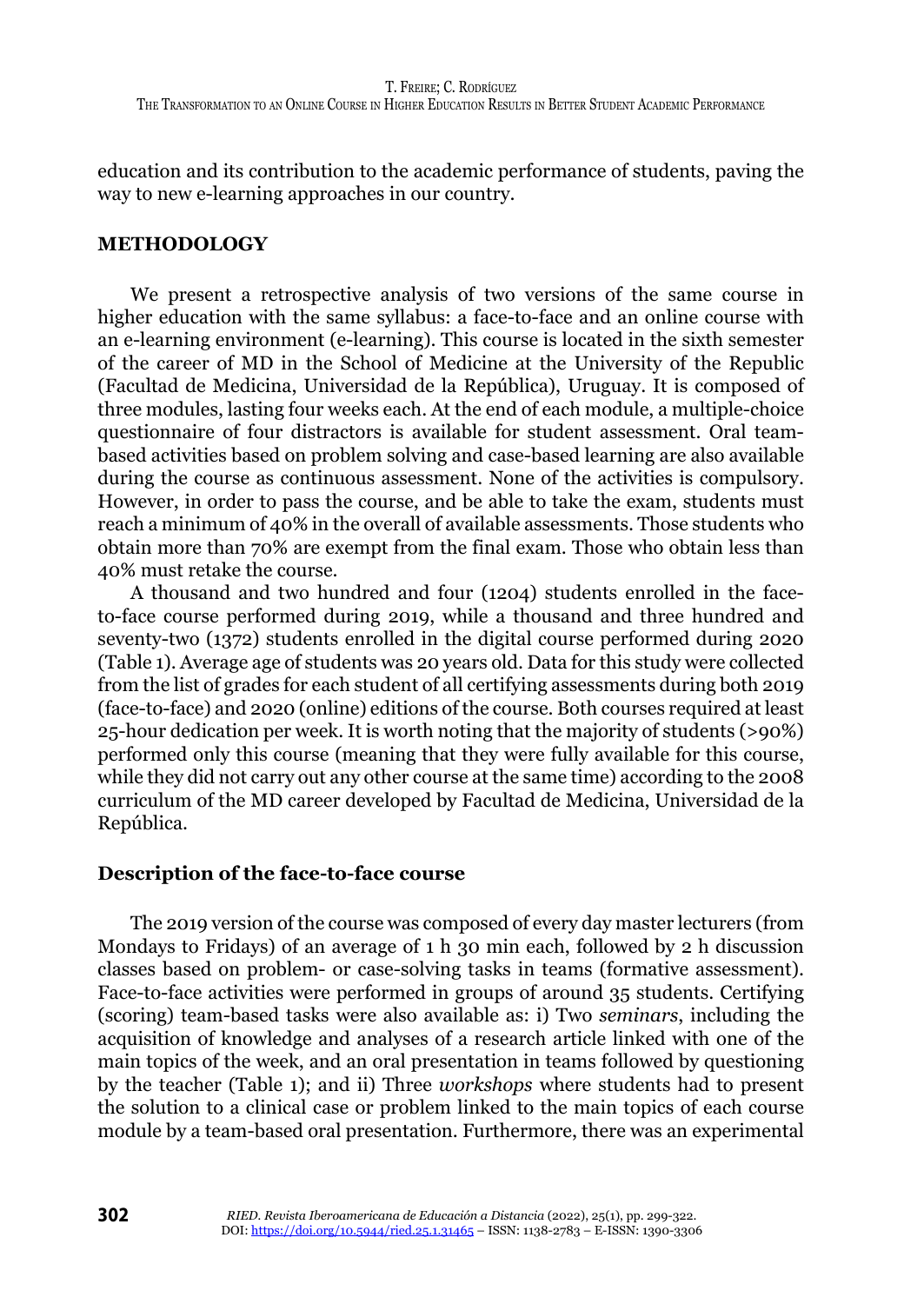education and its contribution to the academic performance of students, paving the way to new e-learning approaches in our country.

#### **METHODOLOGY**

We present a retrospective analysis of two versions of the same course in higher education with the same syllabus: a face-to-face and an online course with an e-learning environment (e-learning). This course is located in the sixth semester of the career of MD in the School of Medicine at the University of the Republic (Facultad de Medicina, Universidad de la República), Uruguay. It is composed of three modules, lasting four weeks each. At the end of each module, a multiple-choice questionnaire of four distractors is available for student assessment. Oral teambased activities based on problem solving and case-based learning are also available during the course as continuous assessment. None of the activities is compulsory. However, in order to pass the course, and be able to take the exam, students must reach a minimum of 40% in the overall of available assessments. Those students who obtain more than 70% are exempt from the final exam. Those who obtain less than 40% must retake the course.

A thousand and two hundred and four (1204) students enrolled in the faceto-face course performed during 2019, while a thousand and three hundred and seventy-two (1372) students enrolled in the digital course performed during 2020 (Table 1). Average age of students was 20 years old. Data for this study were collected from the list of grades for each student of all certifying assessments during both 2019 (face-to-face) and 2020 (online) editions of the course. Both courses required at least 25-hour dedication per week. It is worth noting that the majority of students (>90%) performed only this course (meaning that they were fully available for this course, while they did not carry out any other course at the same time) according to the 2008 curriculum of the MD career developed by Facultad de Medicina, Universidad de la República.

#### **Description of the face-to-face course**

The 2019 version of the course was composed of every day master lecturers (from Mondays to Fridays) of an average of 1 h 30 min each, followed by 2 h discussion classes based on problem- or case-solving tasks in teams (formative assessment). Face-to-face activities were performed in groups of around 35 students. Certifying (scoring) team-based tasks were also available as: i) Two *seminars*, including the acquisition of knowledge and analyses of a research article linked with one of the main topics of the week, and an oral presentation in teams followed by questioning by the teacher (Table 1); and ii) Three *workshops* where students had to present the solution to a clinical case or problem linked to the main topics of each course module by a team-based oral presentation. Furthermore, there was an experimental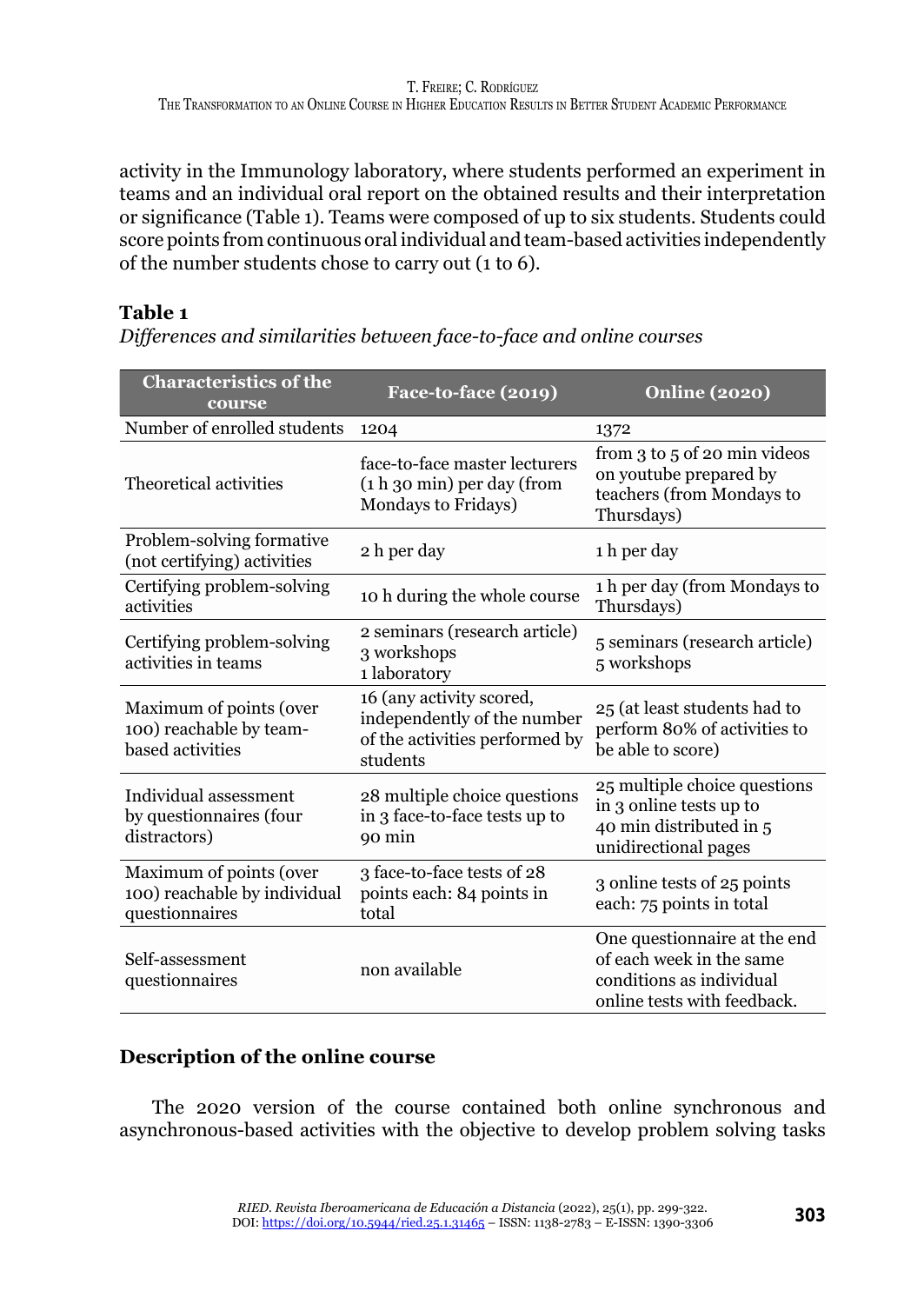activity in the Immunology laboratory, where students performed an experiment in teams and an individual oral report on the obtained results and their interpretation or significance (Table 1). Teams were composed of up to six students. Students could score points from continuous oral individual and team-based activities independently of the number students chose to carry out (1 to 6).

# **Table 1**

*Differences and similarities between face-to-face and online courses*

| <b>Characteristics of the</b><br>course                                   | Face-to-face (2019)                                                                                   | <b>Online (2020)</b>                                                                                                |  |
|---------------------------------------------------------------------------|-------------------------------------------------------------------------------------------------------|---------------------------------------------------------------------------------------------------------------------|--|
| Number of enrolled students                                               | 1204                                                                                                  | 1372                                                                                                                |  |
| Theoretical activities                                                    | face-to-face master lecturers<br>$(1 h 30 min)$ per day (from<br>Mondays to Fridays)                  | from 3 to 5 of 20 min videos<br>on youtube prepared by<br>teachers (from Mondays to<br>Thursdays)                   |  |
| Problem-solving formative<br>(not certifying) activities                  | 2 h per day                                                                                           | 1 h per day                                                                                                         |  |
| Certifying problem-solving<br>activities                                  | 10 h during the whole course                                                                          | 1 h per day (from Mondays to<br>Thursdays)                                                                          |  |
| Certifying problem-solving<br>activities in teams                         | 2 seminars (research article)<br>3 workshops<br>1 laboratory                                          | 5 seminars (research article)<br>5 workshops                                                                        |  |
| Maximum of points (over<br>100) reachable by team-<br>based activities    | 16 (any activity scored,<br>independently of the number<br>of the activities performed by<br>students | 25 (at least students had to<br>perform 80% of activities to<br>be able to score)                                   |  |
| Individual assessment<br>by questionnaires (four<br>distractors)          | 28 multiple choice questions<br>in 3 face-to-face tests up to<br>90 min                               | 25 multiple choice questions<br>in 3 online tests up to<br>40 min distributed in 5<br>unidirectional pages          |  |
| Maximum of points (over<br>100) reachable by individual<br>questionnaires | 3 face-to-face tests of 28<br>points each: 84 points in<br>total                                      | 3 online tests of 25 points<br>each: 75 points in total                                                             |  |
| Self-assessment<br>questionnaires                                         | non available                                                                                         | One questionnaire at the end<br>of each week in the same<br>conditions as individual<br>online tests with feedback. |  |

# **Description of the online course**

The 2020 version of the course contained both online synchronous and asynchronous-based activities with the objective to develop problem solving tasks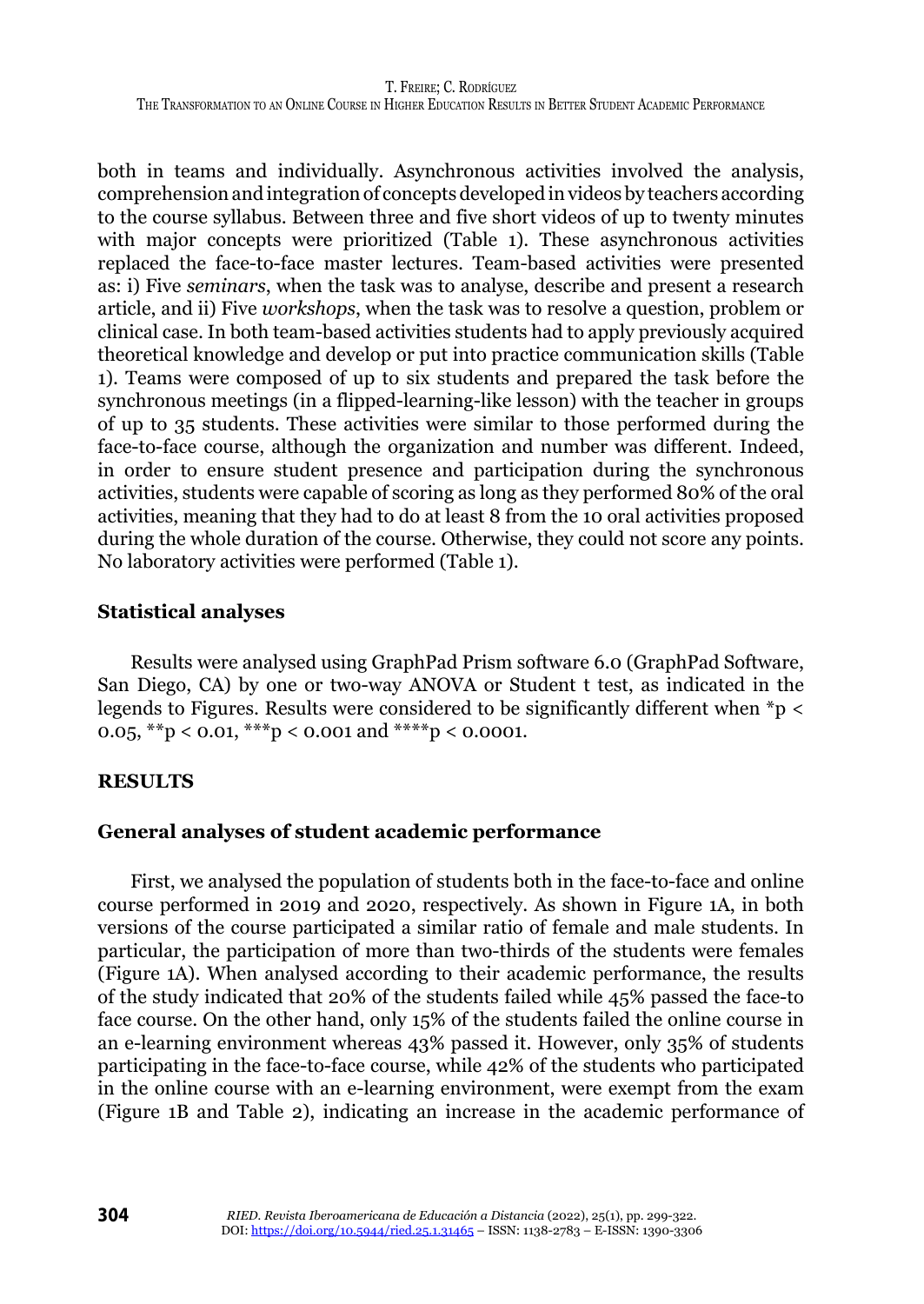both in teams and individually. Asynchronous activities involved the analysis, comprehension and integration of concepts developed in videos by teachers according to the course syllabus. Between three and five short videos of up to twenty minutes with major concepts were prioritized (Table 1). These asynchronous activities replaced the face-to-face master lectures. Team-based activities were presented as: i) Five *seminars*, when the task was to analyse, describe and present a research article, and ii) Five *workshops*, when the task was to resolve a question, problem or clinical case. In both team-based activities students had to apply previously acquired theoretical knowledge and develop or put into practice communication skills (Table 1). Teams were composed of up to six students and prepared the task before the synchronous meetings (in a flipped-learning-like lesson) with the teacher in groups of up to 35 students. These activities were similar to those performed during the face-to-face course, although the organization and number was different. Indeed, in order to ensure student presence and participation during the synchronous activities, students were capable of scoring as long as they performed 80% of the oral activities, meaning that they had to do at least 8 from the 10 oral activities proposed during the whole duration of the course. Otherwise, they could not score any points. No laboratory activities were performed (Table 1).

# **Statistical analyses**

Results were analysed using GraphPad Prism software 6.0 (GraphPad Software, San Diego, CA) by one or two-way ANOVA or Student t test, as indicated in the legends to Figures. Results were considered to be significantly different when \*p < 0.05, \*\*p < 0.01, \*\*\*p < 0.001 and \*\*\*\*p < 0.0001.

#### **RESULTS**

#### **General analyses of student academic performance**

First, we analysed the population of students both in the face-to-face and online course performed in 2019 and 2020, respectively. As shown in Figure 1A, in both versions of the course participated a similar ratio of female and male students. In particular, the participation of more than two-thirds of the students were females (Figure 1A). When analysed according to their academic performance, the results of the study indicated that 20% of the students failed while 45% passed the face-to face course. On the other hand, only 15% of the students failed the online course in an e-learning environment whereas 43% passed it. However, only 35% of students participating in the face-to-face course, while 42% of the students who participated in the online course with an e-learning environment, were exempt from the exam (Figure 1B and Table 2), indicating an increase in the academic performance of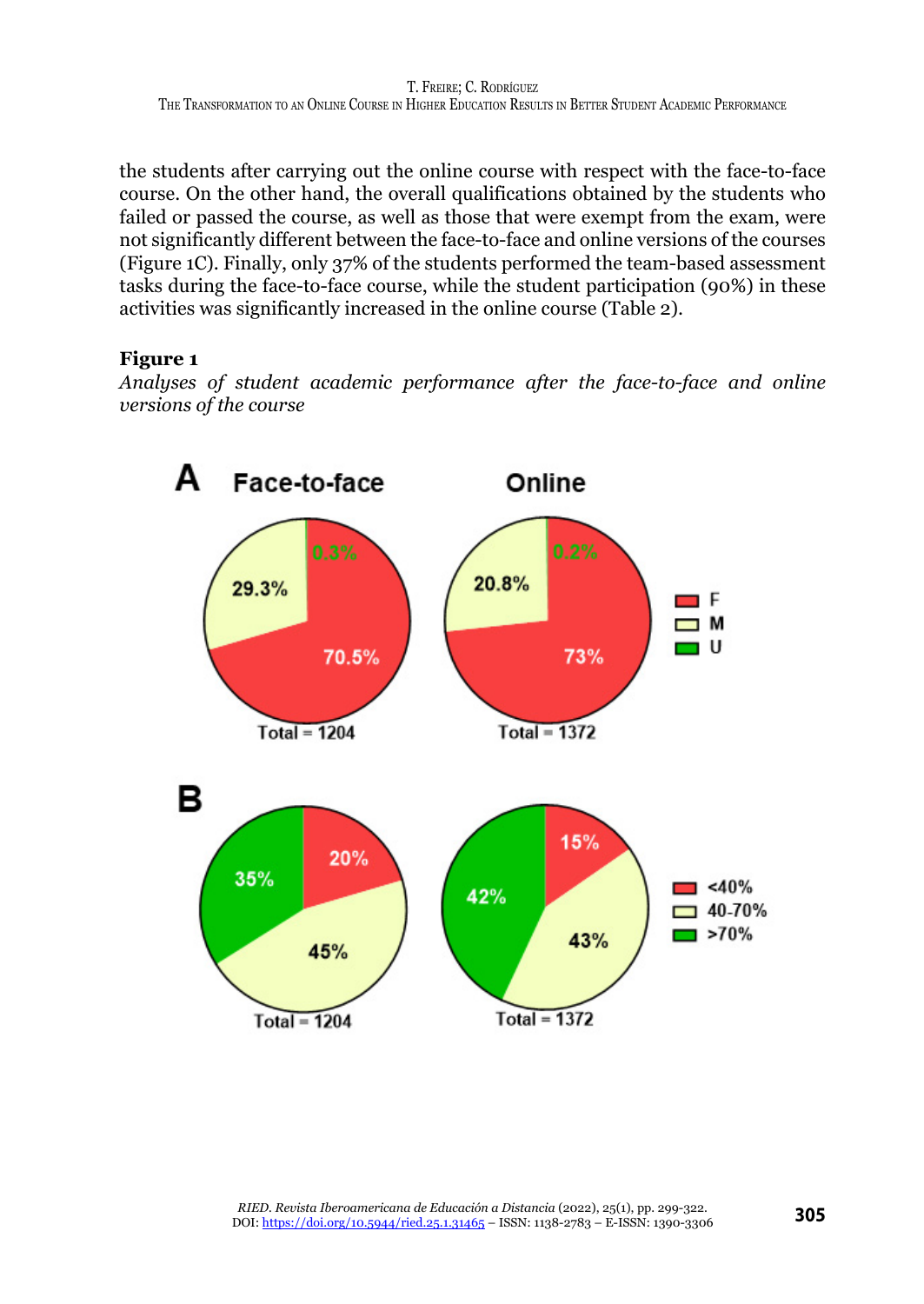the students after carrying out the online course with respect with the face-to-face course. On the other hand, the overall qualifications obtained by the students who failed or passed the course, as well as those that were exempt from the exam, were not significantly different between the face-to-face and online versions of the courses (Figure 1C). Finally, only 37% of the students performed the team-based assessment tasks during the face-to-face course, while the student participation (90%) in these activities was significantly increased in the online course (Table 2).

# **Figure 1**

*Analyses of student academic performance after the face-to-face and online versions of the course*

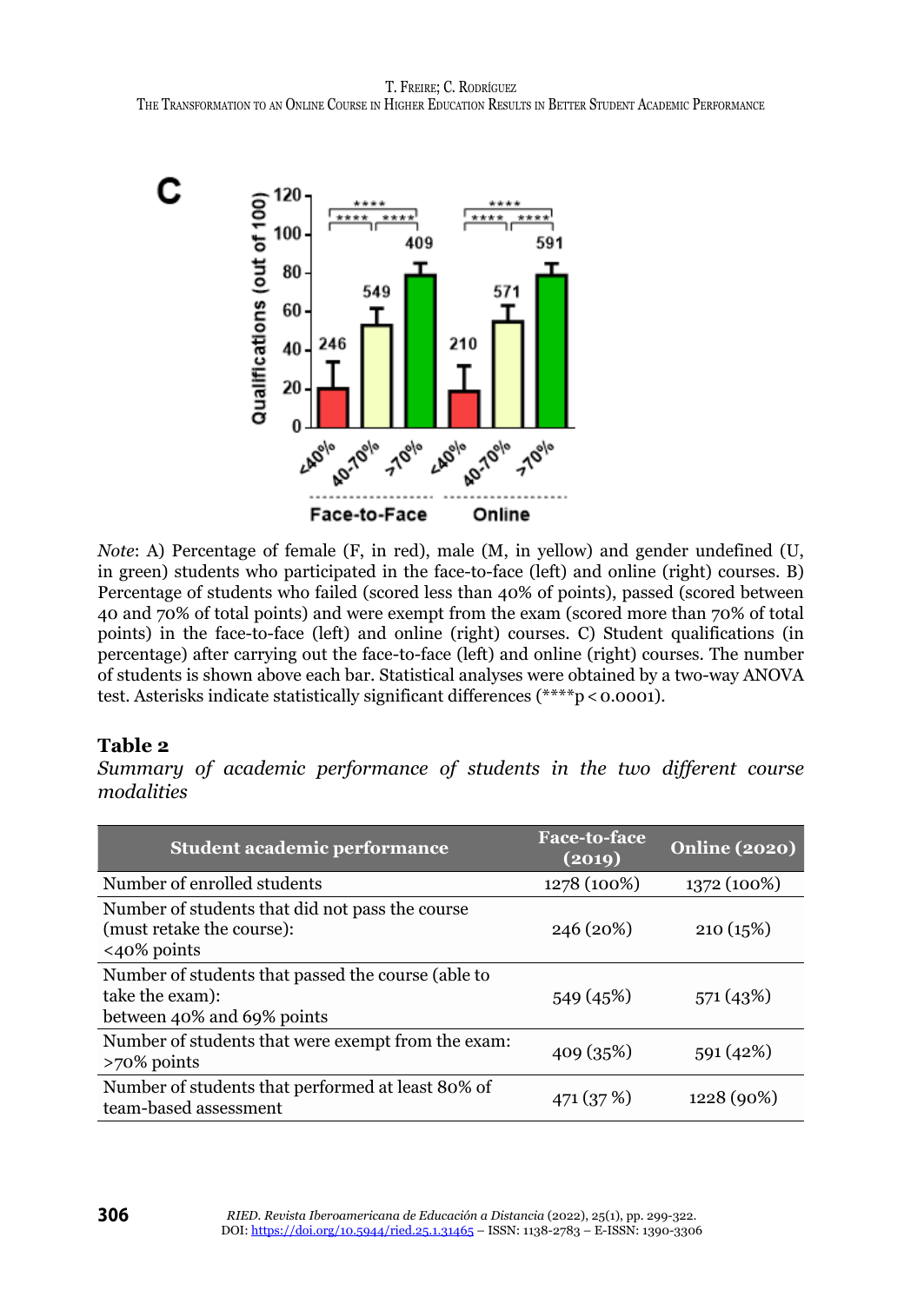

*Note*: A) Percentage of female (F, in red), male (M, in yellow) and gender undefined (U, in green) students who participated in the face-to-face (left) and online (right) courses. B) Percentage of students who failed (scored less than 40% of points), passed (scored between 40 and 70% of total points) and were exempt from the exam (scored more than 70% of total points) in the face-to-face (left) and online (right) courses. C) Student qualifications (in percentage) after carrying out the face-to-face (left) and online (right) courses. The number of students is shown above each bar. Statistical analyses were obtained by a two-way ANOVA test. Asterisks indicate statistically significant differences (\*\*\*\*p < 0.0001).

#### **Table 2**

*Summary of academic performance of students in the two different course modalities*

| <b>Student academic performance</b>                                                                   | <b>Face-to-face</b><br>(2019) | <b>Online (2020)</b> |
|-------------------------------------------------------------------------------------------------------|-------------------------------|----------------------|
| Number of enrolled students                                                                           | 1278 (100%)                   | 1372 (100%)          |
| Number of students that did not pass the course<br>(must retake the course):<br>$\langle 40\%$ points | 246 (20%)                     | 210(15%)             |
| Number of students that passed the course (able to<br>take the exam):<br>between 40% and 69% points   | 549 (45%)                     | 571 (43%)            |
| Number of students that were exempt from the exam:<br>$>70\%$ points                                  | 409 (35%)                     | 591(42%)             |
| Number of students that performed at least 80% of<br>team-based assessment                            | 471 (37 %)                    | 1228 (90%)           |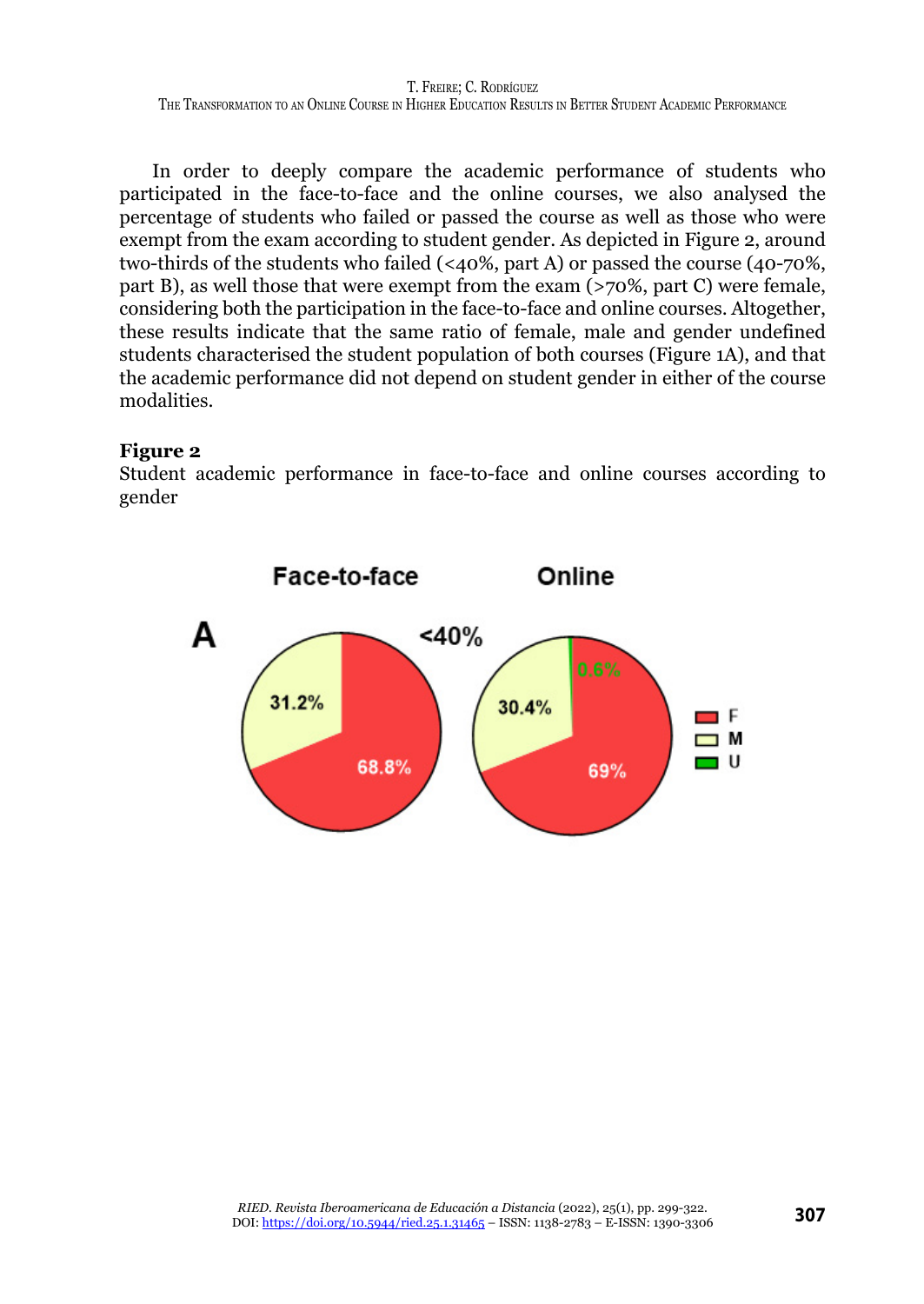T. Freire; C. Rodríguez The Transformation to an Online Course in Higher Education Results in Better Student Academic Performance

In order to deeply compare the academic performance of students who participated in the face-to-face and the online courses, we also analysed the percentage of students who failed or passed the course as well as those who were exempt from the exam according to student gender. As depicted in Figure 2, around two-thirds of the students who failed (<40%, part A) or passed the course (40-70%, part B), as well those that were exempt from the exam (>70%, part C) were female, considering both the participation in the face-to-face and online courses. Altogether, these results indicate that the same ratio of female, male and gender undefined students characterised the student population of both courses (Figure 1A), and that the academic performance did not depend on student gender in either of the course modalities.

#### **Figure 2**

Student academic performance in face-to-face and online courses according to gender

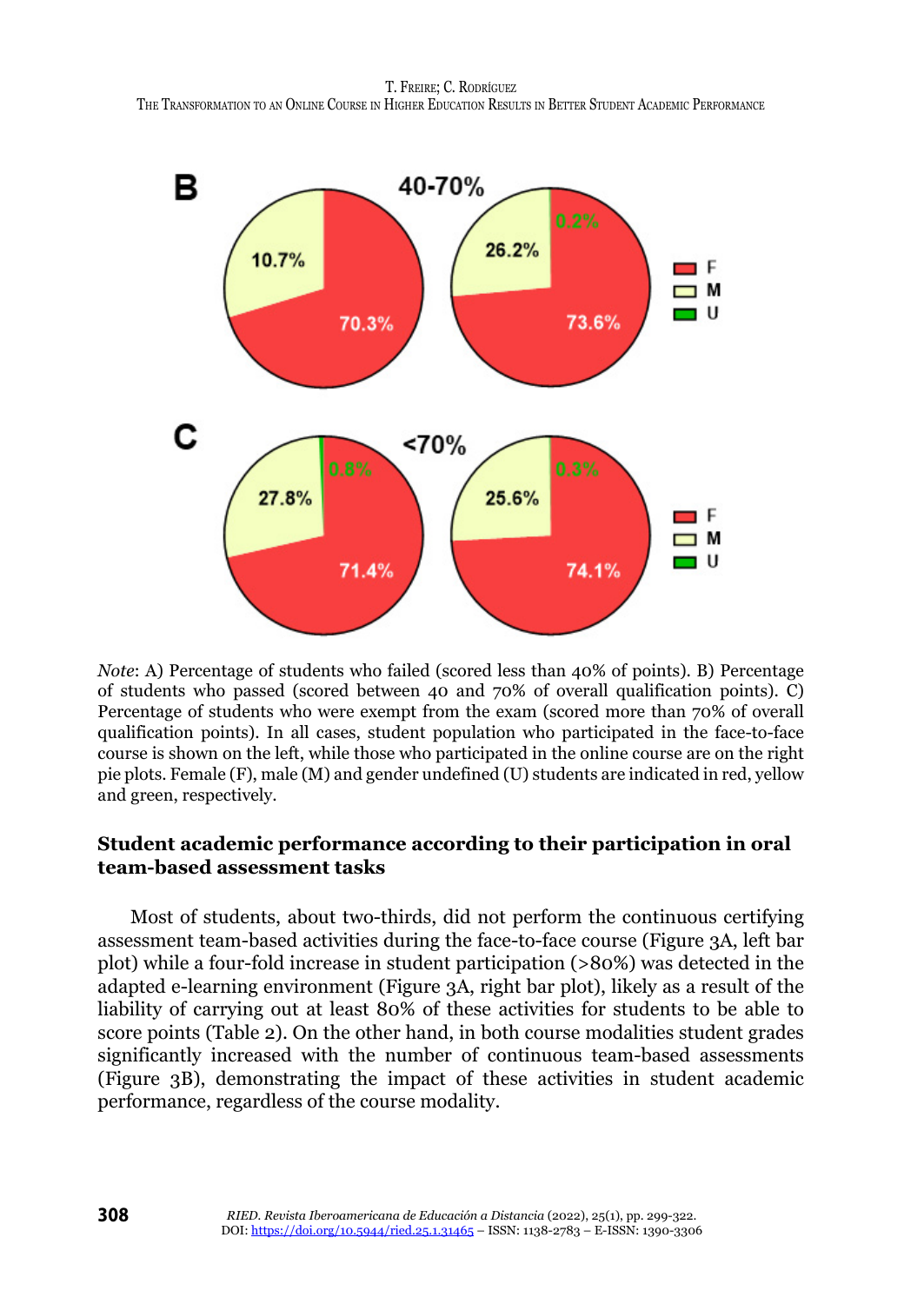

*Note*: A) Percentage of students who failed (scored less than 40% of points). B) Percentage of students who passed (scored between 40 and 70% of overall qualification points). C) Percentage of students who were exempt from the exam (scored more than 70% of overall qualification points). In all cases, student population who participated in the face-to-face course is shown on the left, while those who participated in the online course are on the right pie plots. Female (F), male (M) and gender undefined (U) students are indicated in red, yellow and green, respectively.

# **Student academic performance according to their participation in oral team-based assessment tasks**

Most of students, about two-thirds, did not perform the continuous certifying assessment team-based activities during the face-to-face course (Figure 3A, left bar plot) while a four-fold increase in student participation (>80%) was detected in the adapted e-learning environment (Figure 3A, right bar plot), likely as a result of the liability of carrying out at least 80% of these activities for students to be able to score points (Table 2). On the other hand, in both course modalities student grades significantly increased with the number of continuous team-based assessments (Figure 3B), demonstrating the impact of these activities in student academic performance, regardless of the course modality.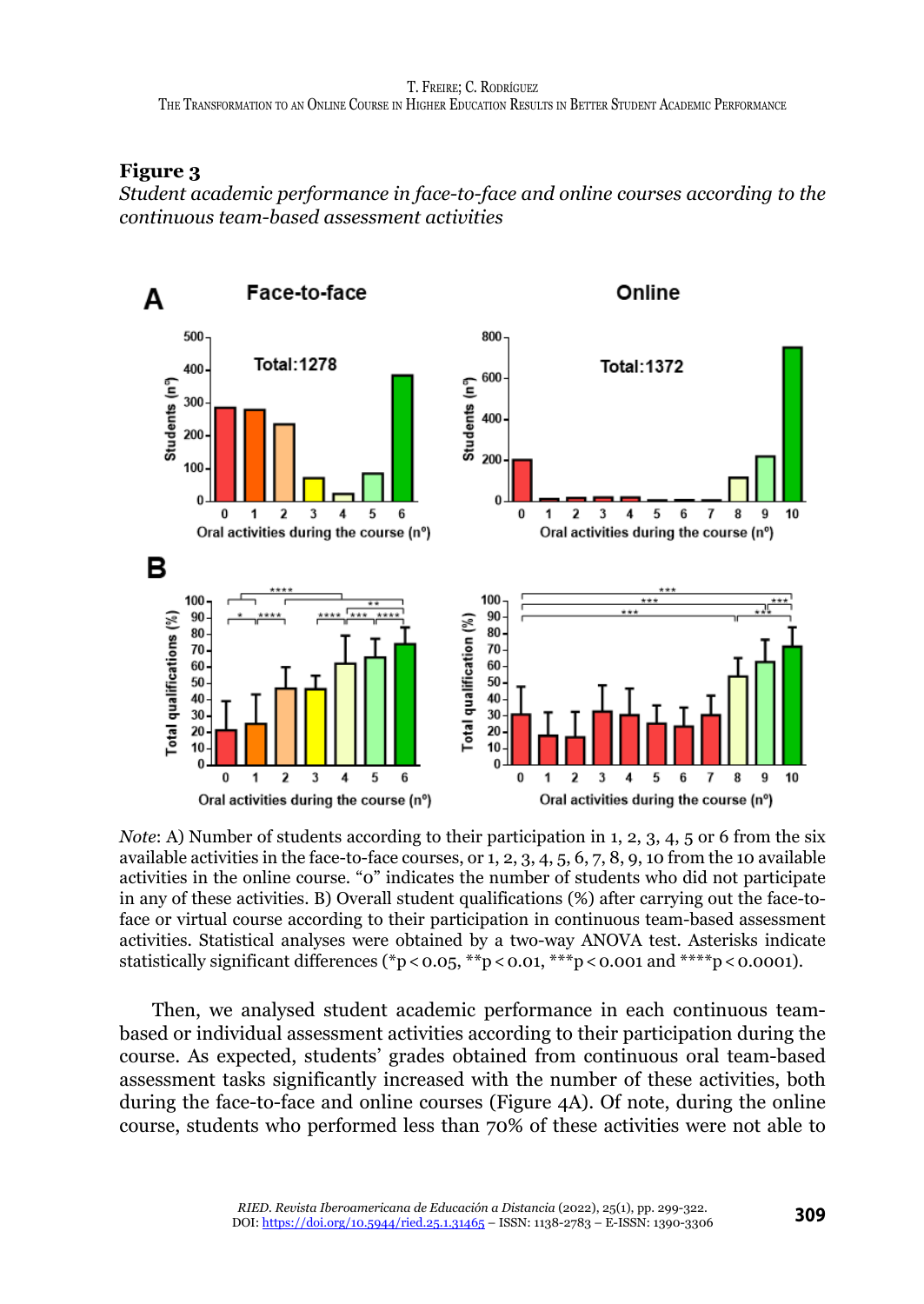#### **Figure 3**

*Student academic performance in face-to-face and online courses according to the continuous team-based assessment activities*



*Note*: A) Number of students according to their participation in 1, 2, 3, 4, 5 or 6 from the six available activities in the face-to-face courses, or 1, 2, 3, 4, 5, 6, 7, 8, 9, 10 from the 10 available activities in the online course. "0" indicates the number of students who did not participate in any of these activities. B) Overall student qualifications (%) after carrying out the face-toface or virtual course according to their participation in continuous team-based assessment activities. Statistical analyses were obtained by a two-way ANOVA test. Asterisks indicate statistically significant differences (\*p<0.05, \*\*p<0.01, \*\*\*p<0.001 and \*\*\*\*p<0.0001).

Then, we analysed student academic performance in each continuous teambased or individual assessment activities according to their participation during the course. As expected, students' grades obtained from continuous oral team-based assessment tasks significantly increased with the number of these activities, both during the face-to-face and online courses (Figure 4A). Of note, during the online course, students who performed less than 70% of these activities were not able to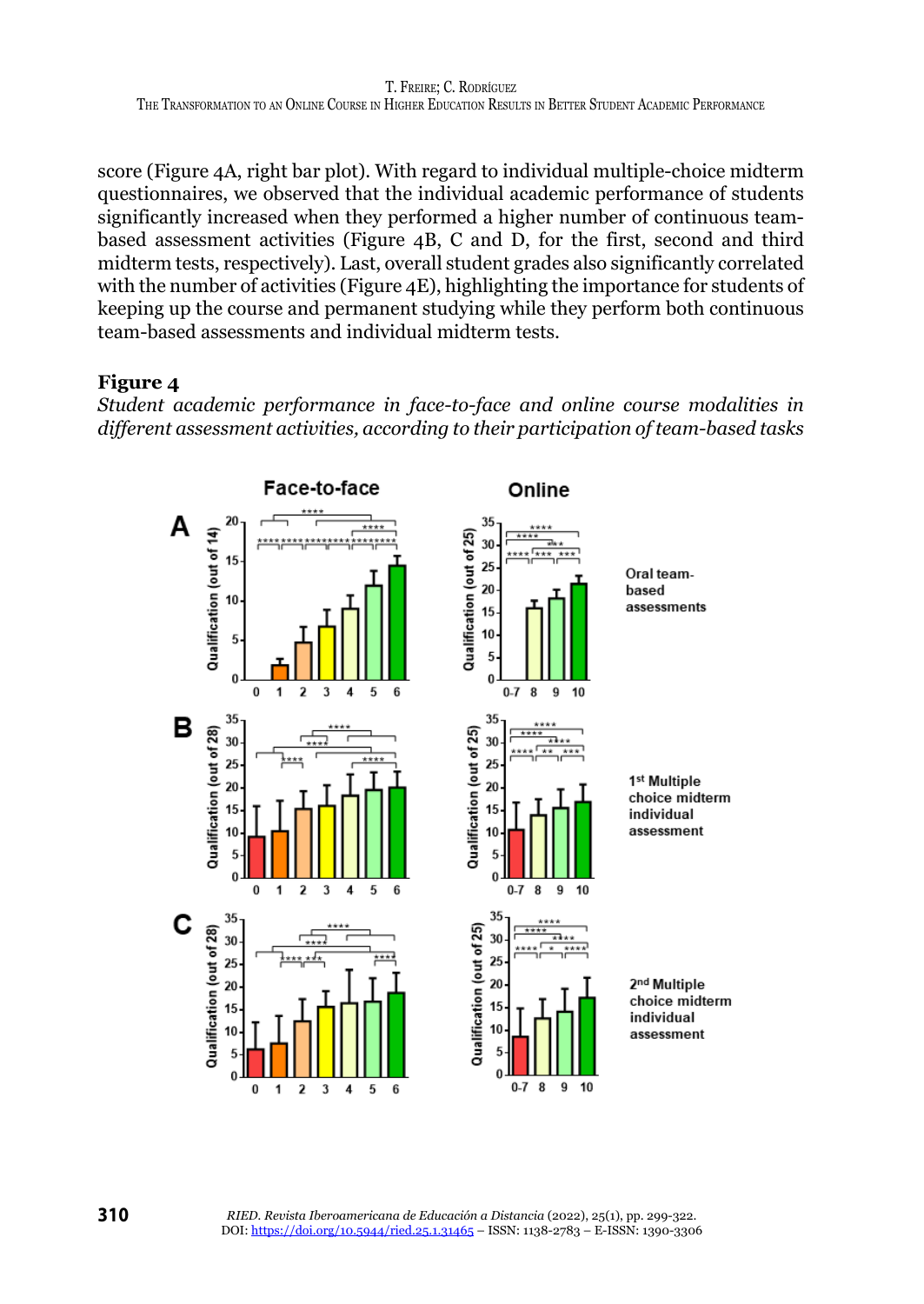score (Figure 4A, right bar plot). With regard to individual multiple-choice midterm questionnaires, we observed that the individual academic performance of students significantly increased when they performed a higher number of continuous teambased assessment activities (Figure 4B, C and D, for the first, second and third midterm tests, respectively). Last, overall student grades also significantly correlated with the number of activities (Figure 4E), highlighting the importance for students of keeping up the course and permanent studying while they perform both continuous team-based assessments and individual midterm tests.

#### **Figure 4**

*Student academic performance in face-to-face and online course modalities in different assessment activities, according to their participation of team-based tasks*

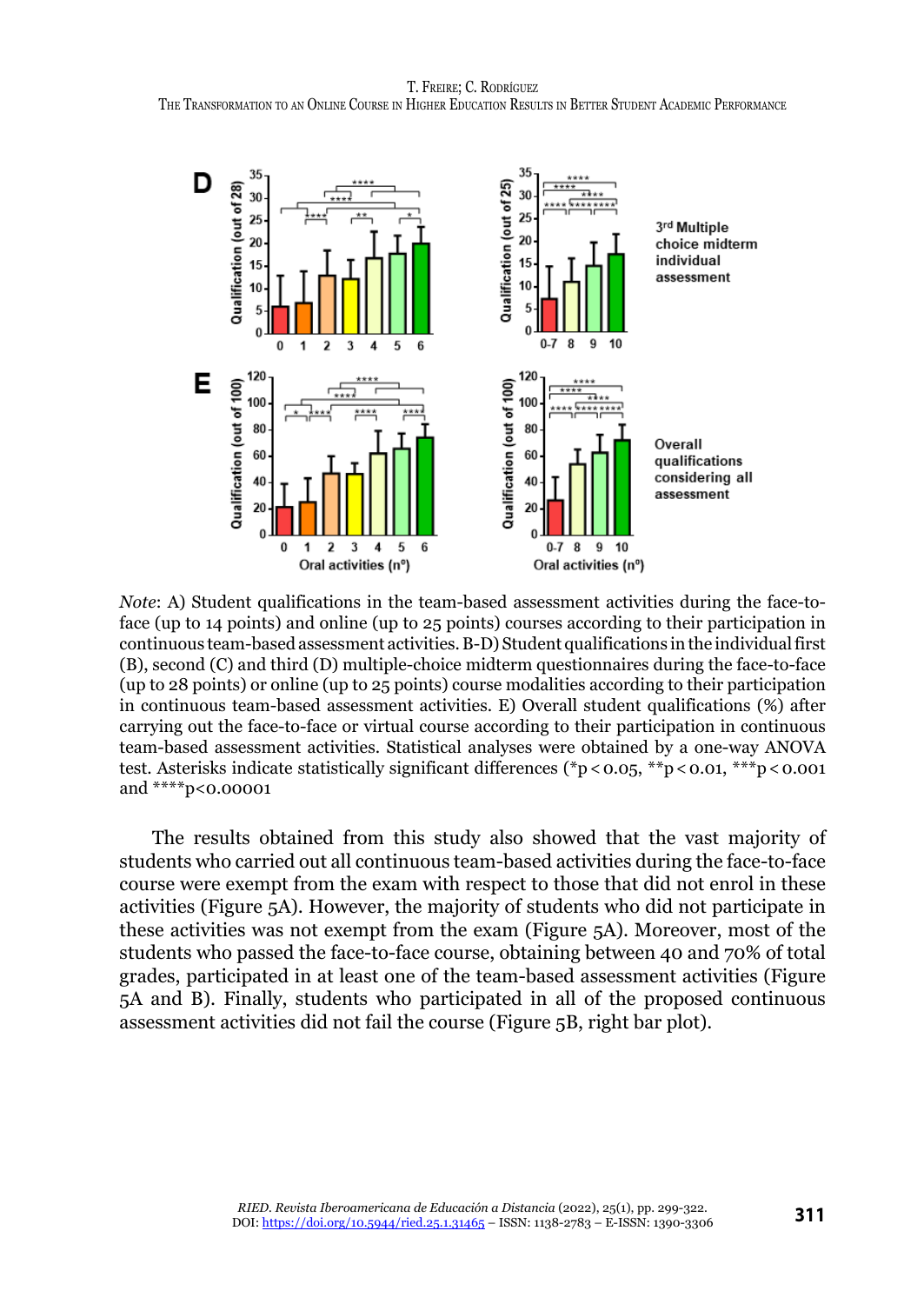T. Freire; C. Rodríguez The Transformation to an Online Course in Higher Education Results in Better Student Academic Performance



*Note*: A) Student qualifications in the team-based assessment activities during the face-toface (up to 14 points) and online (up to 25 points) courses according to their participation in continuous team-based assessment activities. B-D) Student qualifications in the individual first (B), second (C) and third (D) multiple-choice midterm questionnaires during the face-to-face (up to 28 points) or online (up to 25 points) course modalities according to their participation in continuous team-based assessment activities. E) Overall student qualifications (%) after carrying out the face-to-face or virtual course according to their participation in continuous team-based assessment activities. Statistical analyses were obtained by a one-way ANOVA test. Asterisks indicate statistically significant differences (\*p<0.05, \*\*p<0.01, \*\*\*p<0.001 and \*\*\*\*p<0.00001

The results obtained from this study also showed that the vast majority of students who carried out all continuous team-based activities during the face-to-face course were exempt from the exam with respect to those that did not enrol in these activities (Figure 5A). However, the majority of students who did not participate in these activities was not exempt from the exam (Figure 5A). Moreover, most of the students who passed the face-to-face course, obtaining between 40 and 70% of total grades, participated in at least one of the team-based assessment activities (Figure 5A and B). Finally, students who participated in all of the proposed continuous assessment activities did not fail the course (Figure 5B, right bar plot).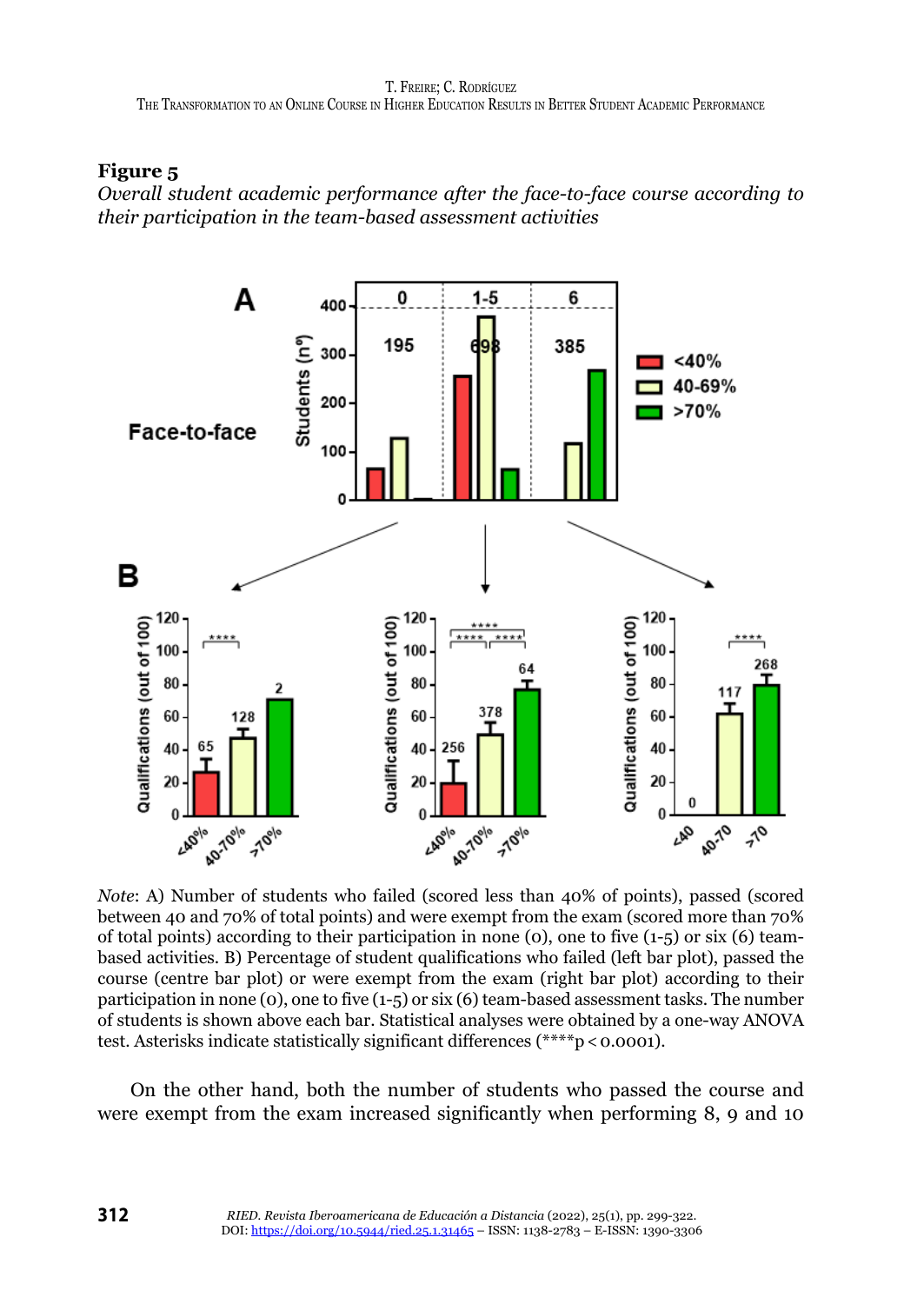# **Figure 5**

*Overall student academic performance after the face-to-face course according to their participation in the team-based assessment activities*



*Note*: A) Number of students who failed (scored less than 40% of points), passed (scored between 40 and 70% of total points) and were exempt from the exam (scored more than 70% of total points) according to their participation in none (0), one to five  $(1-5)$  or six (6) teambased activities. B) Percentage of student qualifications who failed (left bar plot), passed the course (centre bar plot) or were exempt from the exam (right bar plot) according to their participation in none (0), one to five (1-5) or six (6) team-based assessment tasks. The number of students is shown above each bar. Statistical analyses were obtained by a one-way ANOVA test. Asterisks indicate statistically significant differences (\*\*\*\*p < 0.0001).

On the other hand, both the number of students who passed the course and were exempt from the exam increased significantly when performing 8, 9 and 10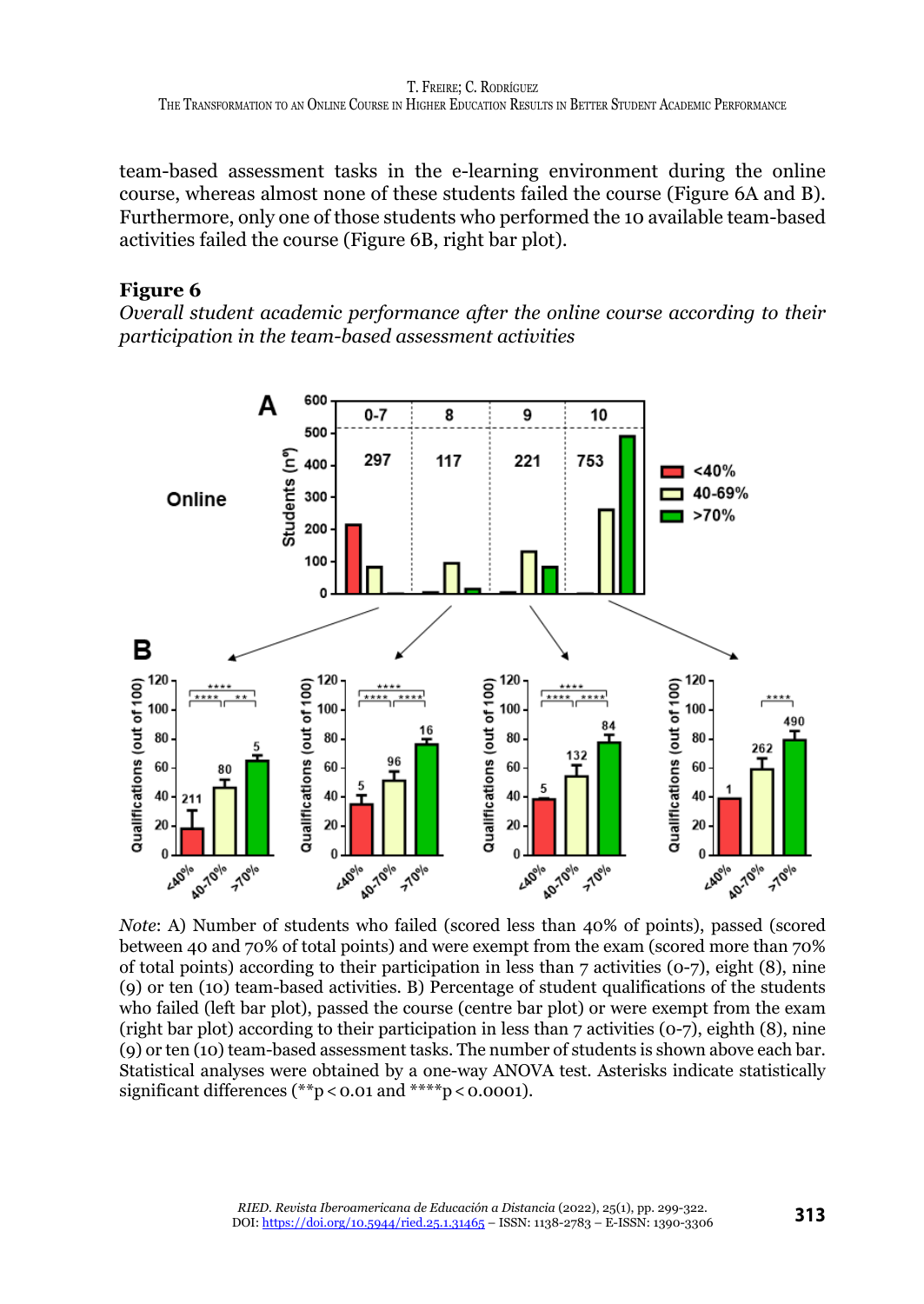team-based assessment tasks in the e-learning environment during the online course, whereas almost none of these students failed the course (Figure 6A and B). Furthermore, only one of those students who performed the 10 available team-based activities failed the course (Figure 6B, right bar plot).

# **Figure 6**

*Overall student academic performance after the online course according to their participation in the team-based assessment activities*



*Note*: A) Number of students who failed (scored less than 40% of points), passed (scored between 40 and 70% of total points) and were exempt from the exam (scored more than 70% of total points) according to their participation in less than 7 activities (0-7), eight (8), nine (9) or ten (10) team-based activities. B) Percentage of student qualifications of the students who failed (left bar plot), passed the course (centre bar plot) or were exempt from the exam (right bar plot) according to their participation in less than 7 activities (0-7), eighth (8), nine (9) or ten (10) team-based assessment tasks. The number of students is shown above each bar. Statistical analyses were obtained by a one-way ANOVA test. Asterisks indicate statistically significant differences (\*\*p < 0.01 and \*\*\*\*p < 0.0001).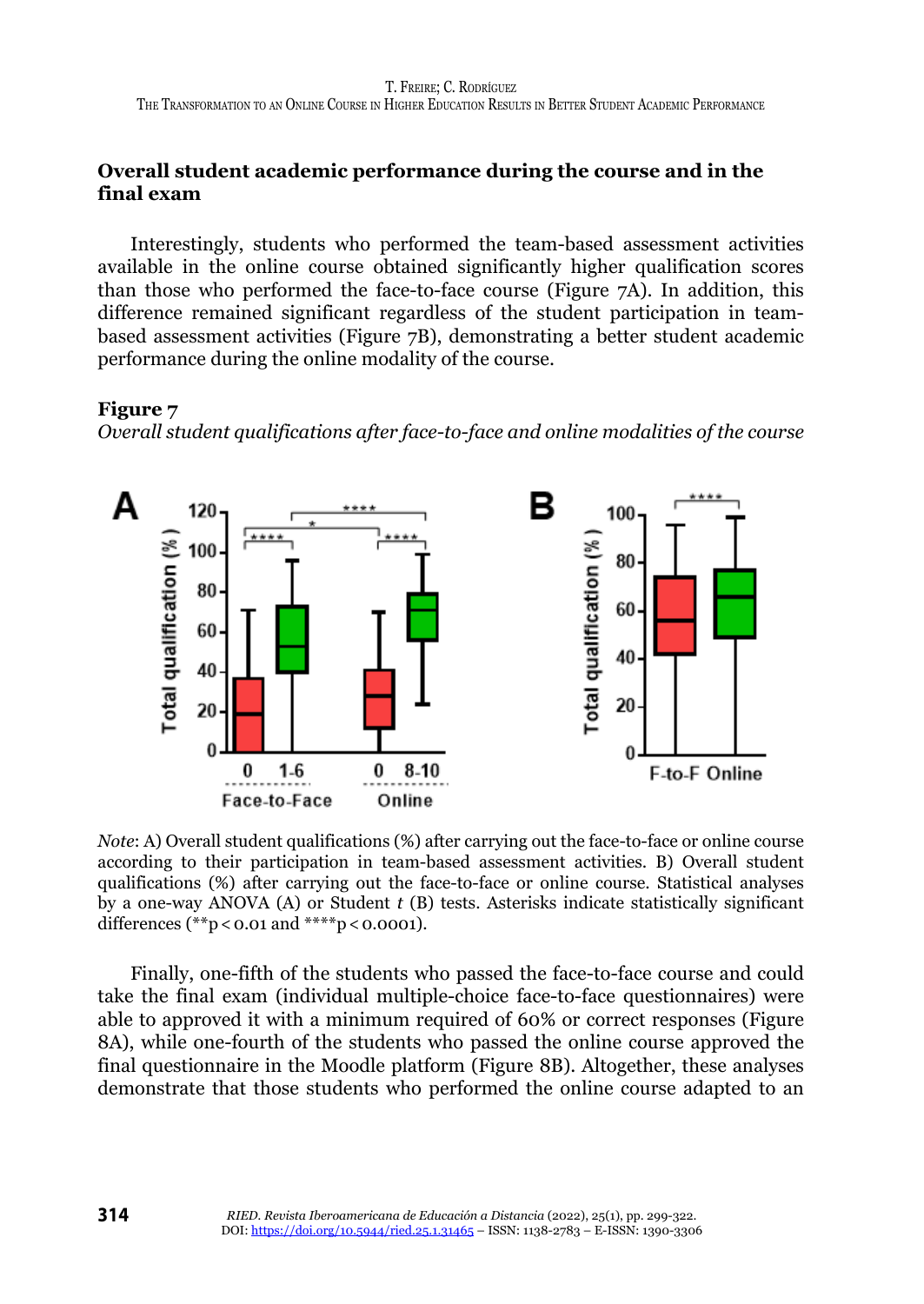# **Overall student academic performance during the course and in the final exam**

Interestingly, students who performed the team-based assessment activities available in the online course obtained significantly higher qualification scores than those who performed the face-to-face course (Figure 7A). In addition, this difference remained significant regardless of the student participation in teambased assessment activities (Figure 7B), demonstrating a better student academic performance during the online modality of the course.

#### **Figure 7**

*Overall student qualifications after face-to-face and online modalities of the course*



*Note*: A) Overall student qualifications (%) after carrying out the face-to-face or online course according to their participation in team-based assessment activities. B) Overall student qualifications (%) after carrying out the face-to-face or online course. Statistical analyses by a one-way ANOVA (A) or Student *t* (B) tests. Asterisks indicate statistically significant differences (\*\*p < 0.01 and \*\*\*\*p < 0.0001).

Finally, one-fifth of the students who passed the face-to-face course and could take the final exam (individual multiple-choice face-to-face questionnaires) were able to approved it with a minimum required of 60% or correct responses (Figure 8A), while one-fourth of the students who passed the online course approved the final questionnaire in the Moodle platform (Figure 8B). Altogether, these analyses demonstrate that those students who performed the online course adapted to an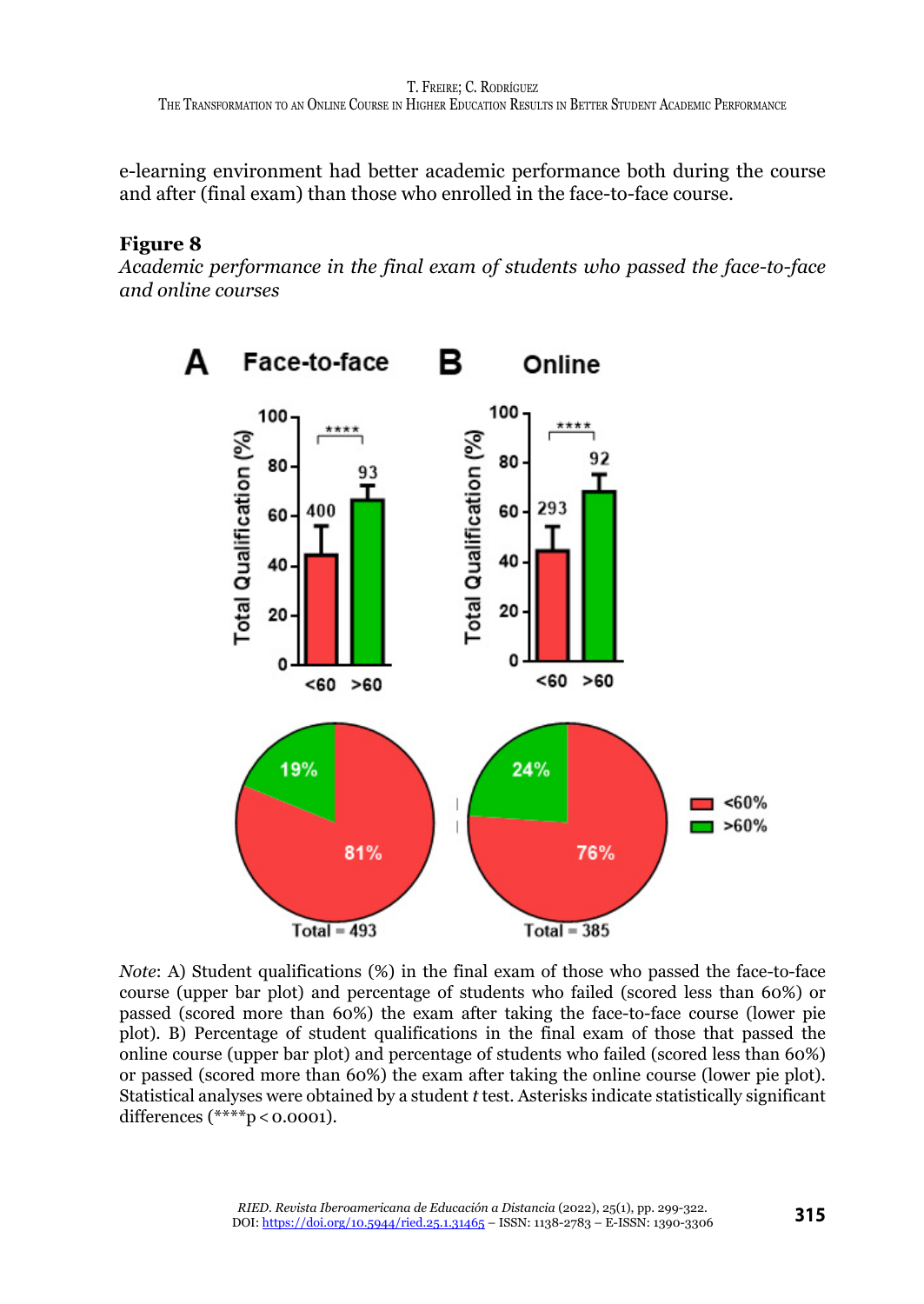e-learning environment had better academic performance both during the course and after (final exam) than those who enrolled in the face-to-face course.

# **Figure 8**

*Academic performance in the final exam of students who passed the face-to-face and online courses*



*Note*: A) Student qualifications (%) in the final exam of those who passed the face-to-face course (upper bar plot) and percentage of students who failed (scored less than 60%) or passed (scored more than 60%) the exam after taking the face-to-face course (lower pie plot). B) Percentage of student qualifications in the final exam of those that passed the online course (upper bar plot) and percentage of students who failed (scored less than 60%) or passed (scored more than 60%) the exam after taking the online course (lower pie plot). Statistical analyses were obtained by a student *t* test. Asterisks indicate statistically significant differences (\*\*\*\*p < 0.0001).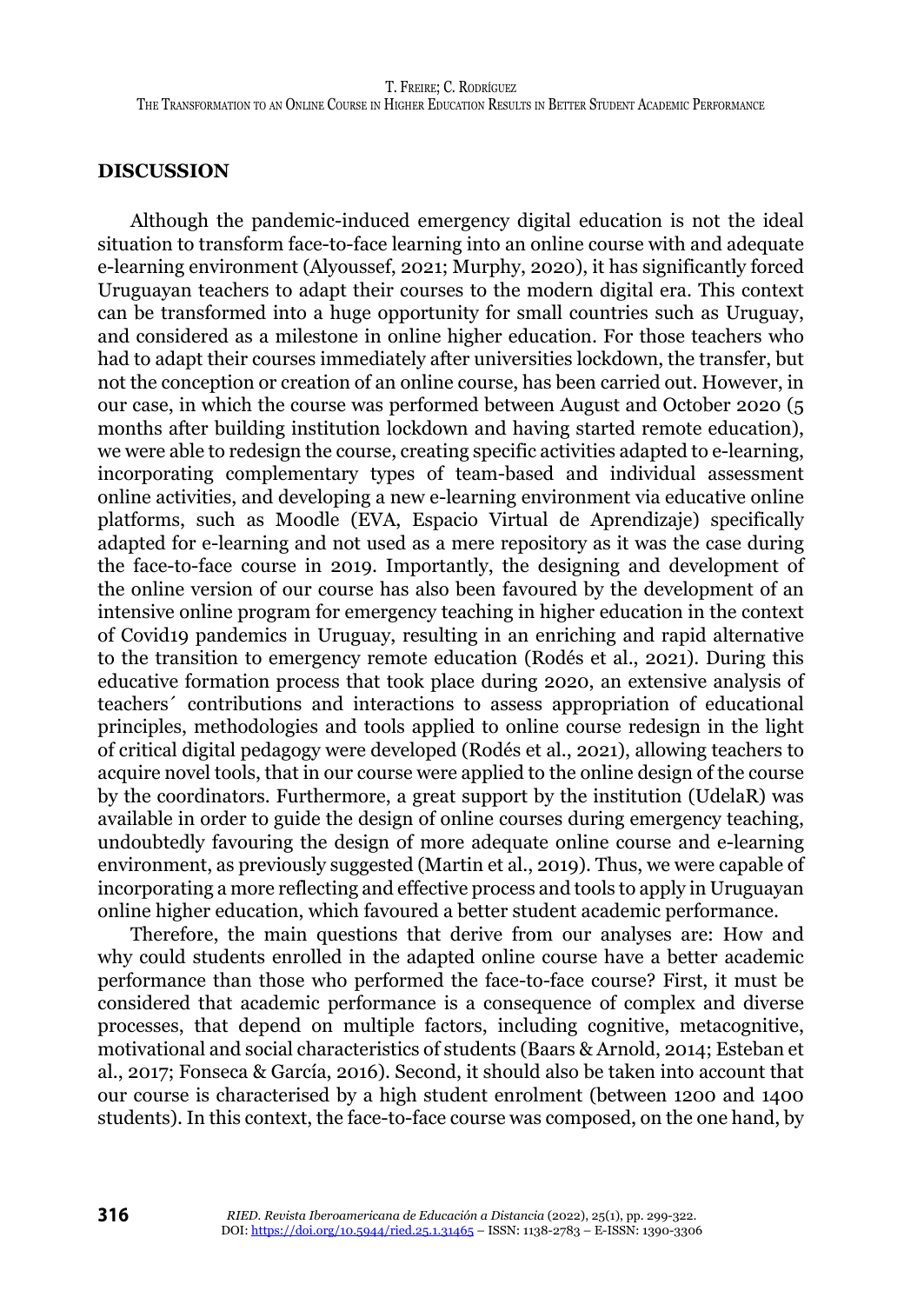#### **DISCUSSION**

Although the pandemic-induced emergency digital education is not the ideal situation to transform face-to-face learning into an online course with and adequate e-learning environment (Alyoussef, 2021; Murphy, 2020), it has significantly forced Uruguayan teachers to adapt their courses to the modern digital era. This context can be transformed into a huge opportunity for small countries such as Uruguay, and considered as a milestone in online higher education. For those teachers who had to adapt their courses immediately after universities lockdown, the transfer, but not the conception or creation of an online course, has been carried out. However, in our case, in which the course was performed between August and October 2020 (5 months after building institution lockdown and having started remote education), we were able to redesign the course, creating specific activities adapted to e-learning, incorporating complementary types of team-based and individual assessment online activities, and developing a new e-learning environment via educative online platforms, such as Moodle (EVA, Espacio Virtual de Aprendizaje) specifically adapted for e-learning and not used as a mere repository as it was the case during the face-to-face course in 2019. Importantly, the designing and development of the online version of our course has also been favoured by the development of an intensive online program for emergency teaching in higher education in the context of Covid19 pandemics in Uruguay, resulting in an enriching and rapid alternative to the transition to emergency remote education (Rodés et al., 2021). During this educative formation process that took place during 2020, an extensive analysis of teachers´ contributions and interactions to assess appropriation of educational principles, methodologies and tools applied to online course redesign in the light of critical digital pedagogy were developed (Rodés et al., 2021), allowing teachers to acquire novel tools, that in our course were applied to the online design of the course by the coordinators. Furthermore, a great support by the institution (UdelaR) was available in order to guide the design of online courses during emergency teaching, undoubtedly favouring the design of more adequate online course and e-learning environment, as previously suggested (Martin et al., 2019). Thus, we were capable of incorporating a more reflecting and effective process and tools to apply in Uruguayan online higher education, which favoured a better student academic performance.

Therefore, the main questions that derive from our analyses are: How and why could students enrolled in the adapted online course have a better academic performance than those who performed the face-to-face course? First, it must be considered that academic performance is a consequence of complex and diverse processes, that depend on multiple factors, including cognitive, metacognitive, motivational and social characteristics of students (Baars & Arnold, 2014; Esteban et al., 2017; Fonseca & García, 2016). Second, it should also be taken into account that our course is characterised by a high student enrolment (between 1200 and 1400 students). In this context, the face-to-face course was composed, on the one hand, by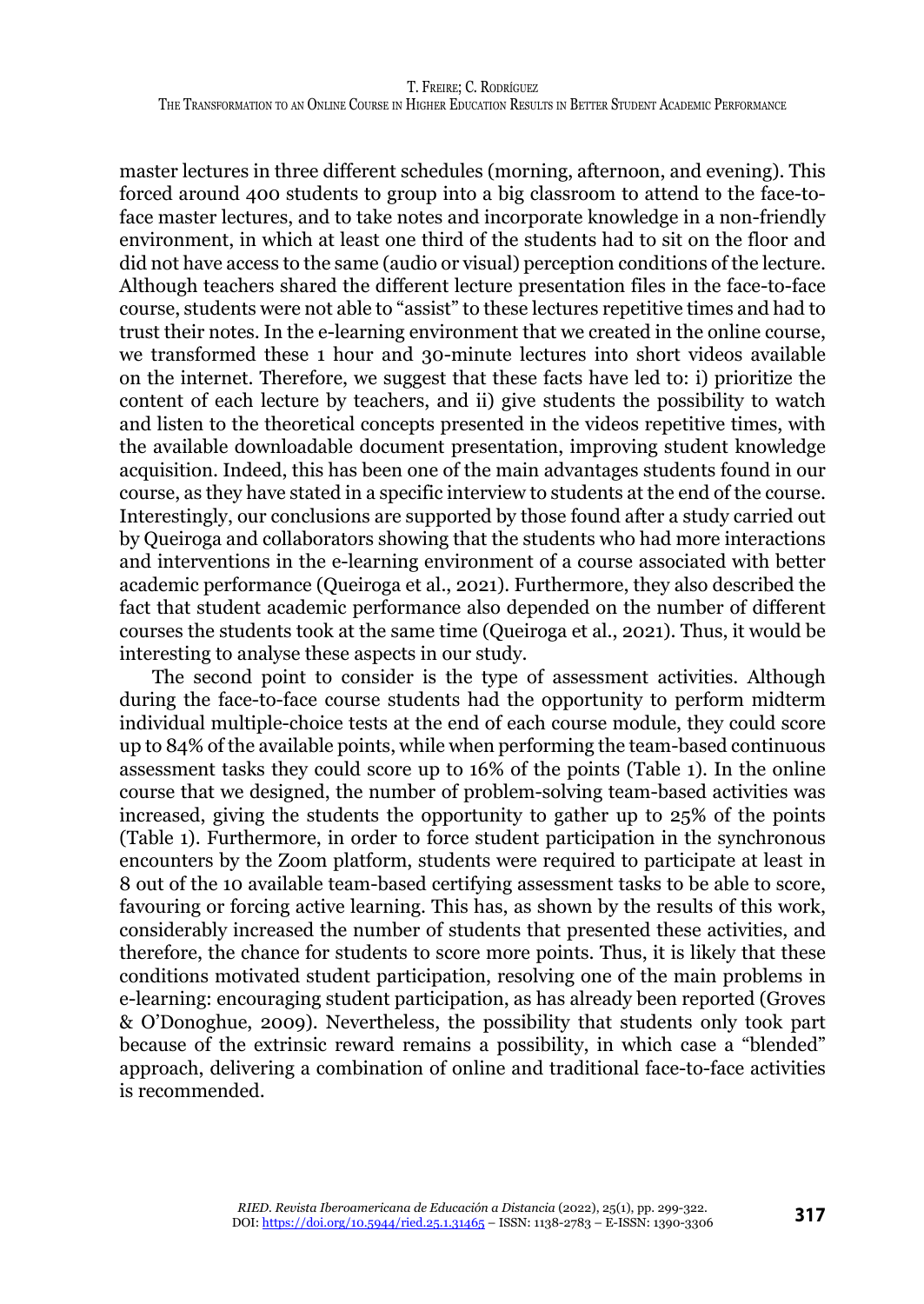master lectures in three different schedules (morning, afternoon, and evening). This forced around 400 students to group into a big classroom to attend to the face-toface master lectures, and to take notes and incorporate knowledge in a non-friendly environment, in which at least one third of the students had to sit on the floor and did not have access to the same (audio or visual) perception conditions of the lecture. Although teachers shared the different lecture presentation files in the face-to-face course, students were not able to "assist" to these lectures repetitive times and had to trust their notes. In the e-learning environment that we created in the online course, we transformed these 1 hour and 30-minute lectures into short videos available on the internet. Therefore, we suggest that these facts have led to: i) prioritize the content of each lecture by teachers, and ii) give students the possibility to watch and listen to the theoretical concepts presented in the videos repetitive times, with the available downloadable document presentation, improving student knowledge acquisition. Indeed, this has been one of the main advantages students found in our course, as they have stated in a specific interview to students at the end of the course. Interestingly, our conclusions are supported by those found after a study carried out by Queiroga and collaborators showing that the students who had more interactions and interventions in the e-learning environment of a course associated with better academic performance (Queiroga et al., 2021). Furthermore, they also described the fact that student academic performance also depended on the number of different courses the students took at the same time (Queiroga et al., 2021). Thus, it would be interesting to analyse these aspects in our study.

The second point to consider is the type of assessment activities. Although during the face-to-face course students had the opportunity to perform midterm individual multiple-choice tests at the end of each course module, they could score up to 84% of the available points, while when performing the team-based continuous assessment tasks they could score up to 16% of the points (Table 1). In the online course that we designed, the number of problem-solving team-based activities was increased, giving the students the opportunity to gather up to 25% of the points (Table 1). Furthermore, in order to force student participation in the synchronous encounters by the Zoom platform, students were required to participate at least in 8 out of the 10 available team-based certifying assessment tasks to be able to score, favouring or forcing active learning. This has, as shown by the results of this work, considerably increased the number of students that presented these activities, and therefore, the chance for students to score more points. Thus, it is likely that these conditions motivated student participation, resolving one of the main problems in e-learning: encouraging student participation, as has already been reported (Groves & O'Donoghue, 2009). Nevertheless, the possibility that students only took part because of the extrinsic reward remains a possibility, in which case a "blended" approach, delivering a combination of online and traditional face-to-face activities is recommended.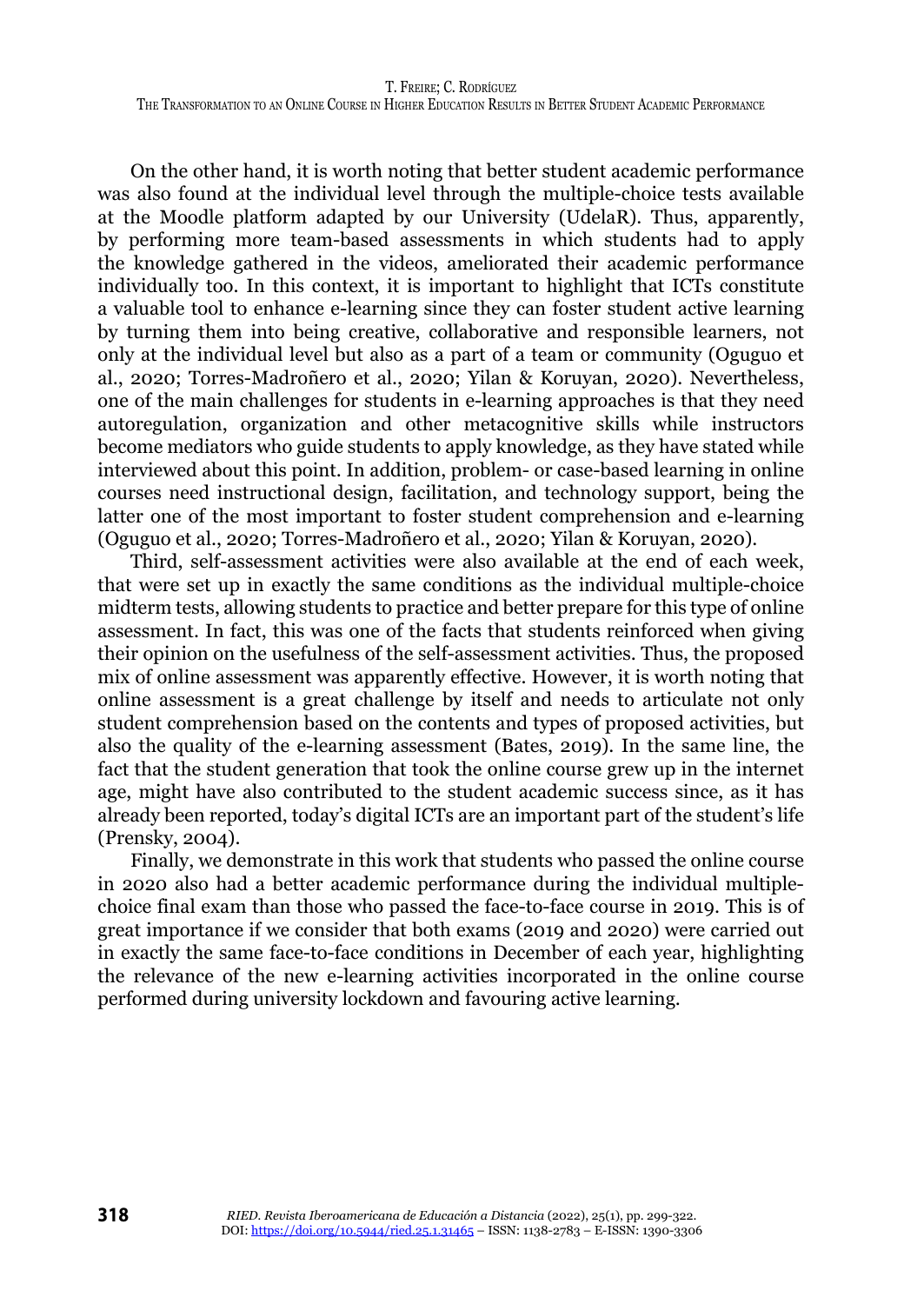On the other hand, it is worth noting that better student academic performance was also found at the individual level through the multiple-choice tests available at the Moodle platform adapted by our University (UdelaR). Thus, apparently, by performing more team-based assessments in which students had to apply the knowledge gathered in the videos, ameliorated their academic performance individually too. In this context, it is important to highlight that ICTs constitute a valuable tool to enhance e-learning since they can foster student active learning by turning them into being creative, collaborative and responsible learners, not only at the individual level but also as a part of a team or community (Oguguo et al., 2020; Torres-Madroñero et al., 2020; Yilan & Koruyan, 2020). Nevertheless, one of the main challenges for students in e-learning approaches is that they need autoregulation, organization and other metacognitive skills while instructors become mediators who guide students to apply knowledge, as they have stated while interviewed about this point. In addition, problem- or case-based learning in online courses need instructional design, facilitation, and technology support, being the latter one of the most important to foster student comprehension and e-learning (Oguguo et al., 2020; Torres-Madroñero et al., 2020; Yilan & Koruyan, 2020).

Third, self-assessment activities were also available at the end of each week, that were set up in exactly the same conditions as the individual multiple-choice midterm tests, allowing students to practice and better prepare for this type of online assessment. In fact, this was one of the facts that students reinforced when giving their opinion on the usefulness of the self-assessment activities. Thus, the proposed mix of online assessment was apparently effective. However, it is worth noting that online assessment is a great challenge by itself and needs to articulate not only student comprehension based on the contents and types of proposed activities, but also the quality of the e-learning assessment (Bates, 2019). In the same line, the fact that the student generation that took the online course grew up in the internet age, might have also contributed to the student academic success since, as it has already been reported, today's digital ICTs are an important part of the student's life (Prensky, 2004).

Finally, we demonstrate in this work that students who passed the online course in 2020 also had a better academic performance during the individual multiplechoice final exam than those who passed the face-to-face course in 2019. This is of great importance if we consider that both exams (2019 and 2020) were carried out in exactly the same face-to-face conditions in December of each year, highlighting the relevance of the new e-learning activities incorporated in the online course performed during university lockdown and favouring active learning.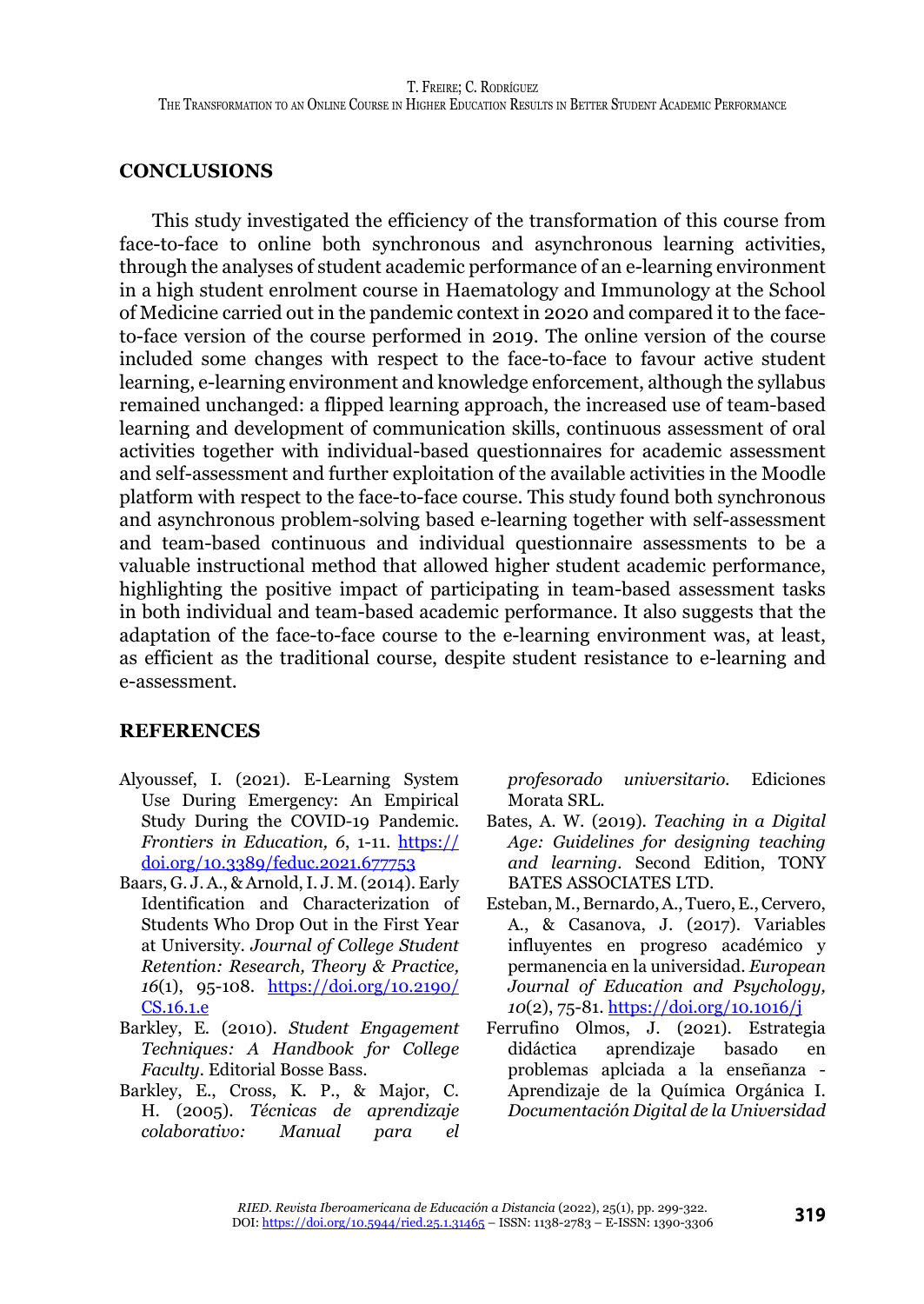# **CONCLUSIONS**

This study investigated the efficiency of the transformation of this course from face-to-face to online both synchronous and asynchronous learning activities, through the analyses of student academic performance of an e-learning environment in a high student enrolment course in Haematology and Immunology at the School of Medicine carried out in the pandemic context in 2020 and compared it to the faceto-face version of the course performed in 2019. The online version of the course included some changes with respect to the face-to-face to favour active student learning, e-learning environment and knowledge enforcement, although the syllabus remained unchanged: a flipped learning approach, the increased use of team-based learning and development of communication skills, continuous assessment of oral activities together with individual-based questionnaires for academic assessment and self-assessment and further exploitation of the available activities in the Moodle platform with respect to the face-to-face course. This study found both synchronous and asynchronous problem-solving based e-learning together with self-assessment and team-based continuous and individual questionnaire assessments to be a valuable instructional method that allowed higher student academic performance, highlighting the positive impact of participating in team-based assessment tasks in both individual and team-based academic performance. It also suggests that the adaptation of the face-to-face course to the e-learning environment was, at least, as efficient as the traditional course, despite student resistance to e-learning and e-assessment.

# **REFERENCES**

- Alyoussef, I. (2021). E-Learning System Use During Emergency: An Empirical Study During the COVID-19 Pandemic. *Frontiers in Education, 6*, 1-11. [https://](https://doi.org/10.3389/feduc.2021.677753) [doi.org/10.3389/feduc.2021.677753](https://doi.org/10.3389/feduc.2021.677753)
- Baars, G. J. A., & Arnold, I. J. M. (2014). Early Identification and Characterization of Students Who Drop Out in the First Year at University. *Journal of College Student Retention: Research, Theory & Practice, 16*(1), 95-108. [https://doi.org/10.2190/](https://doi.org/10.2190/CS.16.1.e) [CS.16.1.e](https://doi.org/10.2190/CS.16.1.e)
- Barkley, E. (2010). *Student Engagement Techniques: A Handbook for College Faculty.* Editorial Bosse Bass.
- Barkley, E., Cross, K. P., & Major, C. H. (2005). *Técnicas de aprendizaje colaborativo: Manual para el*

*profesorado universitario.* Ediciones Morata SRL.

- Bates, A. W. (2019). *Teaching in a Digital Age: Guidelines for designing teaching and learning.* Second Edition, TONY BATES ASSOCIATES LTD.
- Esteban, M., Bernardo, A., Tuero, E., Cervero, A., & Casanova, J. (2017). Variables influyentes en progreso académico y permanencia en la universidad. *European Journal of Education and Psychology, 10*(2), 75-81.<https://doi.org/10.1016/j>
- Ferrufino Olmos, J. (2021). Estrategia didáctica aprendizaje basado en problemas aplciada a la enseñanza - Aprendizaje de la Química Orgánica I. *Documentación Digital de la Universidad*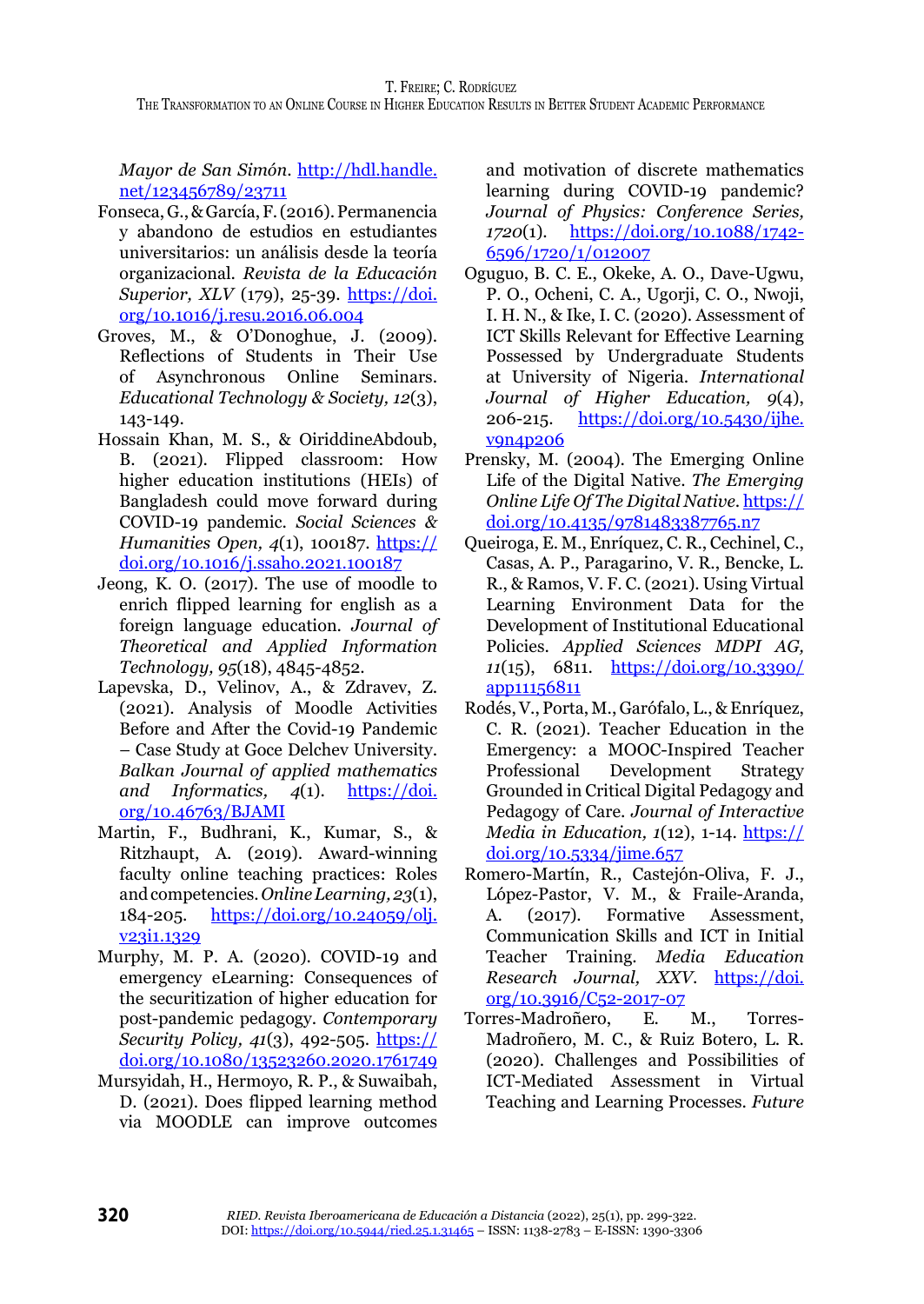*Mayor de San Simón*. [http://hdl.handle.](http://hdl.handle.net/123456789/23711) [net/123456789/23711](http://hdl.handle.net/123456789/23711)

- Fonseca, G., & García, F. (2016). Permanencia y abandono de estudios en estudiantes universitarios: un análisis desde la teoría organizacional. *Revista de la Educación Superior, XLV* (179), 25-39. [https://doi.](https://doi.org/10.1016/j.resu.2016.06.004) [org/10.1016/j.resu.2016.06.004](https://doi.org/10.1016/j.resu.2016.06.004)
- Groves, M., & O'Donoghue, J. (2009). Reflections of Students in Their Use of Asynchronous Online Seminars. *Educational Technology & Society, 12*(3), 143-149.
- Hossain Khan, M. S., & OiriddineAbdoub, B. (2021). Flipped classroom: How higher education institutions (HEIs) of Bangladesh could move forward during COVID-19 pandemic. *Social Sciences & Humanities Open, 4*(1), 100187. [https://](https://doi.org/10.1016/j.ssaho.2021.100187) [doi.org/10.1016/j.ssaho.2021.100187](https://doi.org/10.1016/j.ssaho.2021.100187)
- Jeong, K. O. (2017). The use of moodle to enrich flipped learning for english as a foreign language education. *Journal of Theoretical and Applied Information Technology, 95*(18), 4845-4852.
- Lapevska, D., Velinov, A., & Zdravev, Z. (2021). Analysis of Moodle Activities Before and After the Covid-19 Pandemic – Case Study at Goce Delchev University. *Balkan Journal of applied mathematics and Informatics, 4*(1). [https://doi.](https://doi.org/10.46763/BJAMI) [org/10.46763/BJAMI](https://doi.org/10.46763/BJAMI)
- Martin, F., Budhrani, K., Kumar, S., & Ritzhaupt, A. (2019). Award-winning faculty online teaching practices: Roles and competencies. *Online Learning, 23*(1), 184-205. [https://doi.org/10.24059/olj.](https://doi.org/10.24059/olj.v23i1.1329) [v23i1.1329](https://doi.org/10.24059/olj.v23i1.1329)
- Murphy, M. P. A. (2020). COVID-19 and emergency eLearning: Consequences of the securitization of higher education for post-pandemic pedagogy. *Contemporary Security Policy, 41*(3), 492-505. [https://](https://doi.org/10.1080/13523260.2020.1761749) [doi.org/10.1080/13523260.2020.1761749](https://doi.org/10.1080/13523260.2020.1761749)
- Mursyidah, H., Hermoyo, R. P., & Suwaibah, D. (2021). Does flipped learning method via MOODLE can improve outcomes

and motivation of discrete mathematics learning during COVID-19 pandemic? *Journal of Physics: Conference Series, 1720*(1). [https://doi.org/10.1088/1742-](https://doi.org/10.1088/1742-6596/1720/1/012007) [6596/1720/1/012007](https://doi.org/10.1088/1742-6596/1720/1/012007)

- Oguguo, B. C. E., Okeke, A. O., Dave-Ugwu, P. O., Ocheni, C. A., Ugorji, C. O., Nwoji, I. H. N., & Ike, I. C. (2020). Assessment of ICT Skills Relevant for Effective Learning Possessed by Undergraduate Students at University of Nigeria. *International Journal of Higher Education, 9*(4), 206-215. [https://doi.org/10.5430/ijhe.](https://doi.org/10.5430/ijhe.v9n4p206) [v9n4p206](https://doi.org/10.5430/ijhe.v9n4p206)
- Prensky, M. (2004). The Emerging Online Life of the Digital Native. *The Emerging Online Life Of The Digital Native*. [https://](https://doi.org/10.4135/9781483387765.n7) [doi.org/10.4135/9781483387765.n7](https://doi.org/10.4135/9781483387765.n7)
- Queiroga, E. M., Enríquez, C. R., Cechinel, C., Casas, A. P., Paragarino, V. R., Bencke, L. R., & Ramos, V. F. C. (2021). Using Virtual Learning Environment Data for the Development of Institutional Educational Policies. *Applied Sciences MDPI AG, 11*(15), 6811. [https://doi.org/10.3390/](https://doi.org/10.3390/app11156811) [app11156811](https://doi.org/10.3390/app11156811)
- Rodés, V., Porta, M., Garófalo, L., & Enríquez, C. R. (2021). Teacher Education in the Emergency: a MOOC-Inspired Teacher Professional Development Strategy Grounded in Critical Digital Pedagogy and Pedagogy of Care. *Journal of Interactive Media in Education, 1*(12), 1-14. [https://](https://doi.org/10.5334/jime.657) [doi.org/10.5334/jime.657](https://doi.org/10.5334/jime.657)
- Romero-Martín, R., Castejón-Oliva, F. J., López-Pastor, V. M., & Fraile-Aranda,<br>A. (2017). Formative Assessment, A. (2017). Formative Assessment, Communication Skills and ICT in Initial Teacher Training. *Media Education Research Journal, XXV*. [https://doi.](https://doi.org/10.3916/C52-2017-07) [org/10.3916/C52-2017-07](https://doi.org/10.3916/C52-2017-07)
- Torres-Madroñero, E. M., Torres-Madroñero, M. C., & Ruiz Botero, L. R. (2020). Challenges and Possibilities of ICT-Mediated Assessment in Virtual Teaching and Learning Processes. *Future*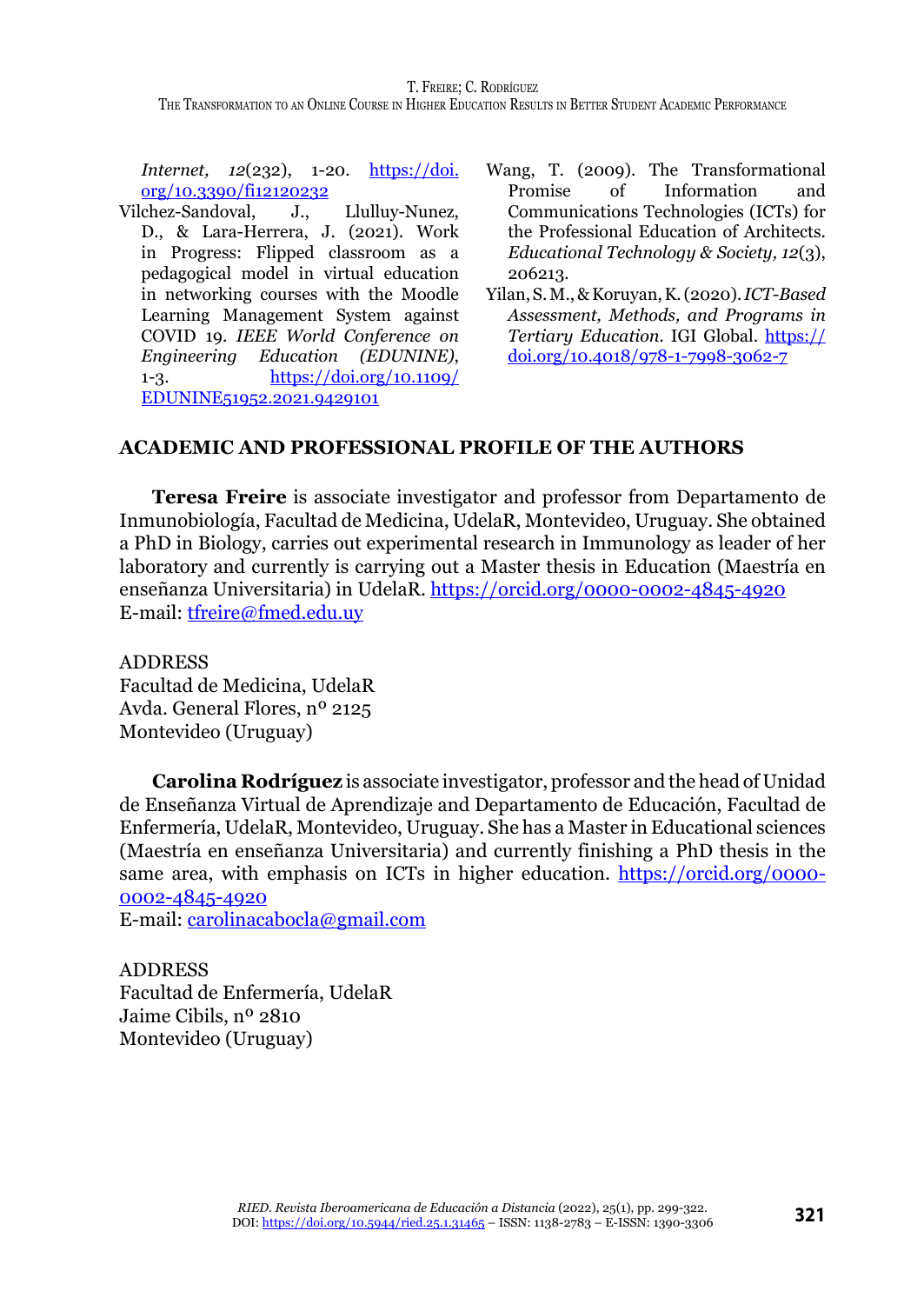T. Freire; C. Rodríguez

The Transformation to an Online Course in Higher Education Results in Better Student Academic Performance

*Internet, 12*(232), 1-20. [https://doi.](https://doi.org/10.3390/fi12120232) [org/10.3390/fi12120232](https://doi.org/10.3390/fi12120232)

- Vilchez-Sandoval, J., Llulluy-Nunez, D., & Lara-Herrera, J. (2021). Work in Progress: Flipped classroom as a pedagogical model in virtual education in networking courses with the Moodle Learning Management System against COVID 19. *IEEE World Conference on Engineering Education (EDUNINE)*, 1-3. [https://doi.org/10.1109/](https://doi.org/10.1109/EDUNINE51952.2021.9429101) [EDUNINE51952.2021.9429101](https://doi.org/10.1109/EDUNINE51952.2021.9429101)
- Wang, T. (2009). The Transformational Promise of Information and Communications Technologies (ICTs) for the Professional Education of Architects. *Educational Technology & Society, 12*(3), 206213.
- Yilan, S. M., & Koruyan, K. (2020). *ICT-Based Assessment, Methods, and Programs in Tertiary Education.* IGI Global. [https://](https://doi.org/10.4018/978-1-7998-3062-7) [doi.org/10.4018/978-1-7998-3062-7](https://doi.org/10.4018/978-1-7998-3062-7)

#### **ACADEMIC AND PROFESSIONAL PROFILE OF THE AUTHORS**

**Teresa Freire** is associate investigator and professor from Departamento de Inmunobiología, Facultad de Medicina, UdelaR, Montevideo, Uruguay. She obtained a PhD in Biology, carries out experimental research in Immunology as leader of her laboratory and currently is carrying out a Master thesis in Education (Maestría en enseñanza Universitaria) in UdelaR. <https://orcid.org/0000-0002-4845-4920> E-mail: [tfreire@fmed.edu.uy](mailto:tfreire@fmed.edu.uy)

ADDRESS Facultad de Medicina, UdelaR Avda. General Flores, nº 2125 Montevideo (Uruguay)

**Carolina Rodríguez** is associate investigator, professor and the head of Unidad de Enseñanza Virtual de Aprendizaje and Departamento de Educación, Facultad de Enfermería, UdelaR, Montevideo, Uruguay. She has a Master in Educational sciences (Maestría en enseñanza Universitaria) and currently finishing a PhD thesis in the same area, with emphasis on ICTs in higher education. [https://orcid.org/0000-](https://orcid.org/0000-0002-4845-4920) [0002-4845-4920](https://orcid.org/0000-0002-4845-4920)

E-mail: [carolinacabocla@gmail.com](mailto:carolinacabocla@gmail.com)

ADDRESS Facultad de Enfermería, UdelaR Jaime Cibils, nº 2810 Montevideo (Uruguay)